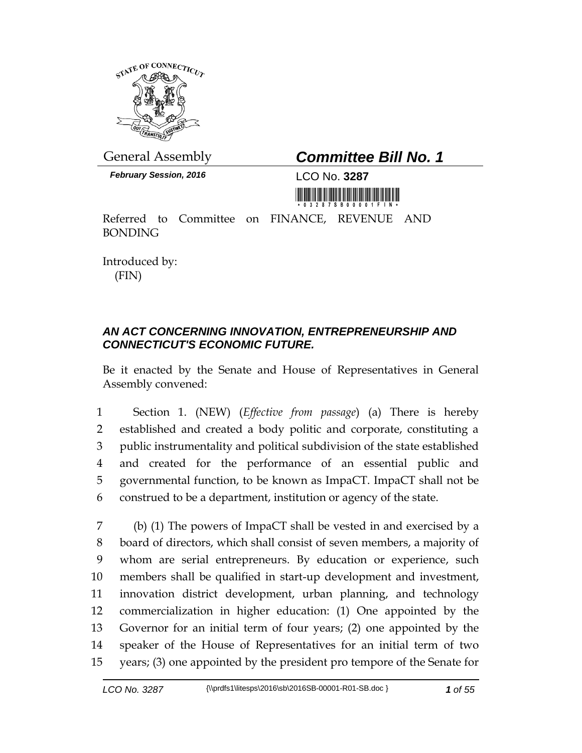

*February Session, 2016* LCO No. **3287**

## General Assembly *Committee Bill No. 1*



Referred to Committee on FINANCE, REVENUE AND BONDING

Introduced by: (FIN)

## *AN ACT CONCERNING INNOVATION, ENTREPRENEURSHIP AND CONNECTICUT'S ECONOMIC FUTURE.*

Be it enacted by the Senate and House of Representatives in General Assembly convened:

 Section 1. (NEW) (*Effective from passage*) (a) There is hereby established and created a body politic and corporate, constituting a public instrumentality and political subdivision of the state established and created for the performance of an essential public and governmental function, to be known as ImpaCT. ImpaCT shall not be construed to be a department, institution or agency of the state.

 (b) (1) The powers of ImpaCT shall be vested in and exercised by a board of directors, which shall consist of seven members, a majority of whom are serial entrepreneurs. By education or experience, such members shall be qualified in start-up development and investment, innovation district development, urban planning, and technology commercialization in higher education: (1) One appointed by the Governor for an initial term of four years; (2) one appointed by the speaker of the House of Representatives for an initial term of two years; (3) one appointed by the president pro tempore of the Senate for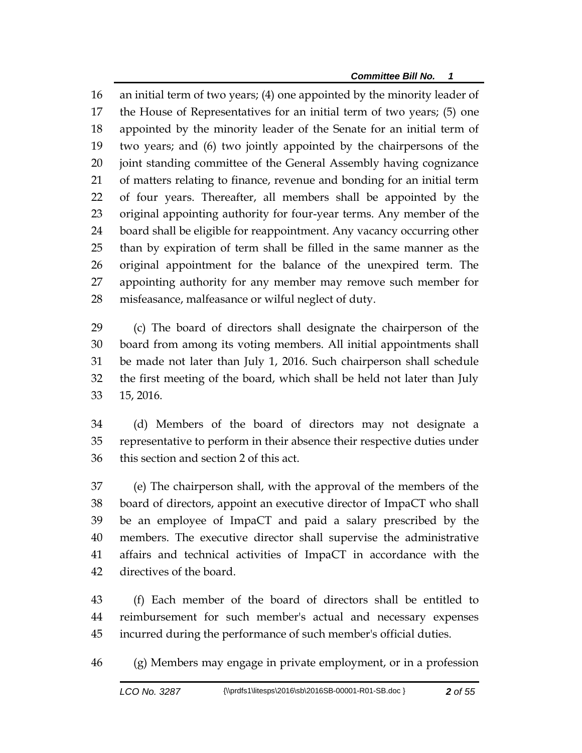*Committee Bill No. 1*

 an initial term of two years; (4) one appointed by the minority leader of the House of Representatives for an initial term of two years; (5) one appointed by the minority leader of the Senate for an initial term of two years; and (6) two jointly appointed by the chairpersons of the joint standing committee of the General Assembly having cognizance of matters relating to finance, revenue and bonding for an initial term of four years. Thereafter, all members shall be appointed by the original appointing authority for four-year terms. Any member of the board shall be eligible for reappointment. Any vacancy occurring other than by expiration of term shall be filled in the same manner as the original appointment for the balance of the unexpired term. The appointing authority for any member may remove such member for misfeasance, malfeasance or wilful neglect of duty.

 (c) The board of directors shall designate the chairperson of the board from among its voting members. All initial appointments shall be made not later than July 1, 2016. Such chairperson shall schedule the first meeting of the board, which shall be held not later than July 15, 2016.

 (d) Members of the board of directors may not designate a representative to perform in their absence their respective duties under this section and section 2 of this act.

 (e) The chairperson shall, with the approval of the members of the board of directors, appoint an executive director of ImpaCT who shall be an employee of ImpaCT and paid a salary prescribed by the members. The executive director shall supervise the administrative affairs and technical activities of ImpaCT in accordance with the directives of the board.

 (f) Each member of the board of directors shall be entitled to reimbursement for such member's actual and necessary expenses incurred during the performance of such member's official duties.

(g) Members may engage in private employment, or in a profession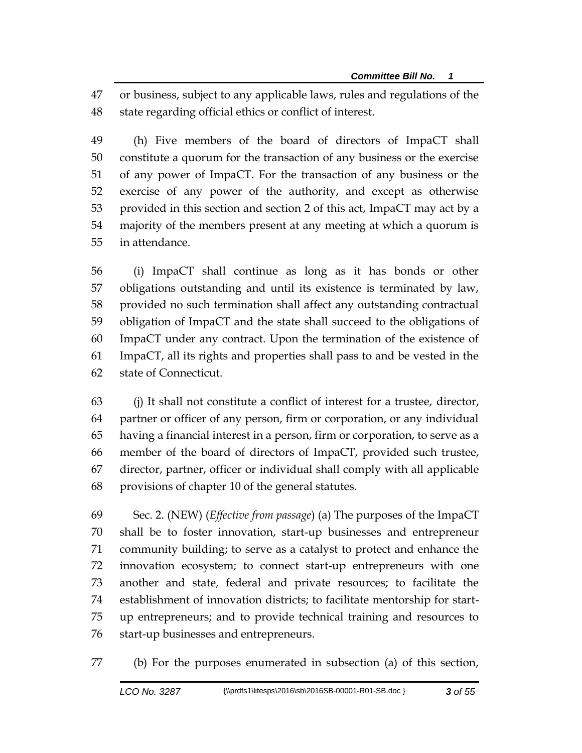or business, subject to any applicable laws, rules and regulations of the state regarding official ethics or conflict of interest.

 (h) Five members of the board of directors of ImpaCT shall constitute a quorum for the transaction of any business or the exercise of any power of ImpaCT. For the transaction of any business or the exercise of any power of the authority, and except as otherwise provided in this section and section 2 of this act, ImpaCT may act by a majority of the members present at any meeting at which a quorum is in attendance.

 (i) ImpaCT shall continue as long as it has bonds or other obligations outstanding and until its existence is terminated by law, provided no such termination shall affect any outstanding contractual obligation of ImpaCT and the state shall succeed to the obligations of ImpaCT under any contract. Upon the termination of the existence of ImpaCT, all its rights and properties shall pass to and be vested in the state of Connecticut.

 (j) It shall not constitute a conflict of interest for a trustee, director, partner or officer of any person, firm or corporation, or any individual having a financial interest in a person, firm or corporation, to serve as a member of the board of directors of ImpaCT, provided such trustee, director, partner, officer or individual shall comply with all applicable provisions of chapter 10 of the general statutes.

 Sec. 2. (NEW) (*Effective from passage*) (a) The purposes of the ImpaCT shall be to foster innovation, start-up businesses and entrepreneur community building; to serve as a catalyst to protect and enhance the innovation ecosystem; to connect start-up entrepreneurs with one another and state, federal and private resources; to facilitate the establishment of innovation districts; to facilitate mentorship for start- up entrepreneurs; and to provide technical training and resources to start-up businesses and entrepreneurs.

(b) For the purposes enumerated in subsection (a) of this section,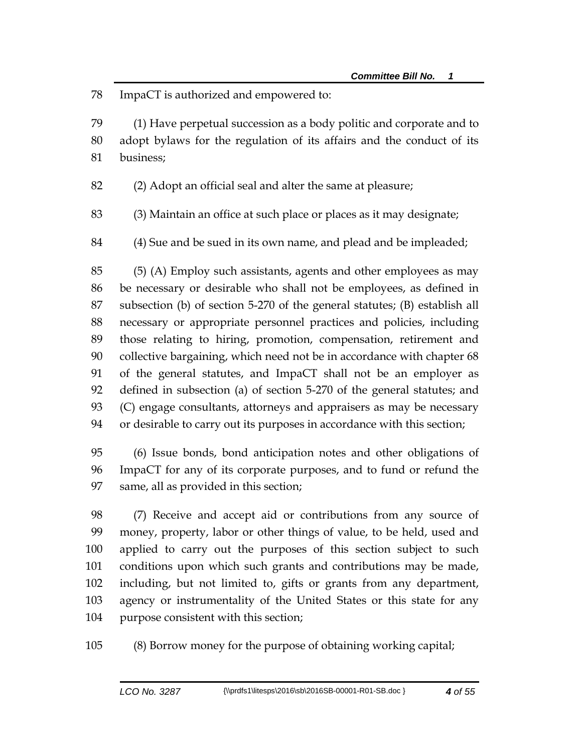ImpaCT is authorized and empowered to:

 (1) Have perpetual succession as a body politic and corporate and to adopt bylaws for the regulation of its affairs and the conduct of its business;

(2) Adopt an official seal and alter the same at pleasure;

(3) Maintain an office at such place or places as it may designate;

(4) Sue and be sued in its own name, and plead and be impleaded;

 (5) (A) Employ such assistants, agents and other employees as may be necessary or desirable who shall not be employees, as defined in subsection (b) of section 5-270 of the general statutes; (B) establish all necessary or appropriate personnel practices and policies, including those relating to hiring, promotion, compensation, retirement and collective bargaining, which need not be in accordance with chapter 68 of the general statutes, and ImpaCT shall not be an employer as defined in subsection (a) of section 5-270 of the general statutes; and (C) engage consultants, attorneys and appraisers as may be necessary or desirable to carry out its purposes in accordance with this section;

 (6) Issue bonds, bond anticipation notes and other obligations of ImpaCT for any of its corporate purposes, and to fund or refund the same, all as provided in this section;

 (7) Receive and accept aid or contributions from any source of money, property, labor or other things of value, to be held, used and applied to carry out the purposes of this section subject to such conditions upon which such grants and contributions may be made, including, but not limited to, gifts or grants from any department, agency or instrumentality of the United States or this state for any purpose consistent with this section;

(8) Borrow money for the purpose of obtaining working capital;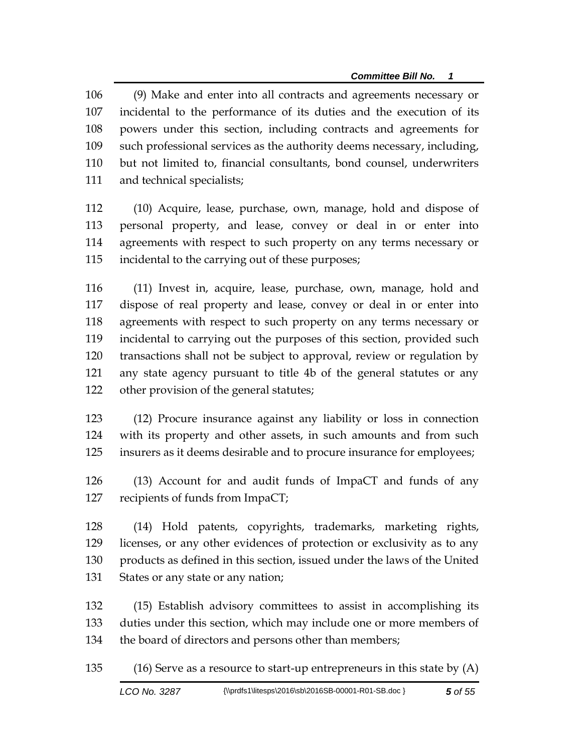(9) Make and enter into all contracts and agreements necessary or incidental to the performance of its duties and the execution of its powers under this section, including contracts and agreements for such professional services as the authority deems necessary, including, but not limited to, financial consultants, bond counsel, underwriters and technical specialists;

 (10) Acquire, lease, purchase, own, manage, hold and dispose of personal property, and lease, convey or deal in or enter into agreements with respect to such property on any terms necessary or incidental to the carrying out of these purposes;

 (11) Invest in, acquire, lease, purchase, own, manage, hold and dispose of real property and lease, convey or deal in or enter into agreements with respect to such property on any terms necessary or incidental to carrying out the purposes of this section, provided such transactions shall not be subject to approval, review or regulation by any state agency pursuant to title 4b of the general statutes or any other provision of the general statutes;

 (12) Procure insurance against any liability or loss in connection with its property and other assets, in such amounts and from such insurers as it deems desirable and to procure insurance for employees;

 (13) Account for and audit funds of ImpaCT and funds of any recipients of funds from ImpaCT;

 (14) Hold patents, copyrights, trademarks, marketing rights, licenses, or any other evidences of protection or exclusivity as to any products as defined in this section, issued under the laws of the United States or any state or any nation;

 (15) Establish advisory committees to assist in accomplishing its duties under this section, which may include one or more members of the board of directors and persons other than members;

(16) Serve as a resource to start-up entrepreneurs in this state by (A)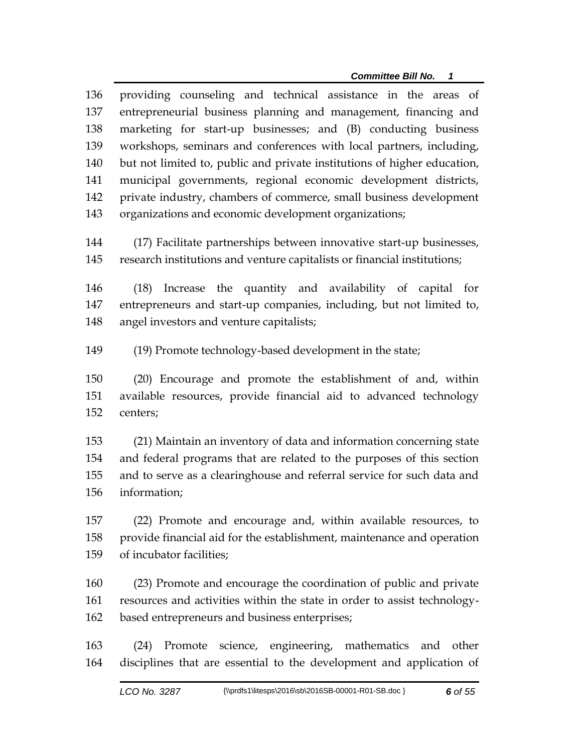providing counseling and technical assistance in the areas of entrepreneurial business planning and management, financing and marketing for start-up businesses; and (B) conducting business workshops, seminars and conferences with local partners, including, but not limited to, public and private institutions of higher education, municipal governments, regional economic development districts, private industry, chambers of commerce, small business development organizations and economic development organizations;

 (17) Facilitate partnerships between innovative start-up businesses, research institutions and venture capitalists or financial institutions;

 (18) Increase the quantity and availability of capital for entrepreneurs and start-up companies, including, but not limited to, angel investors and venture capitalists;

(19) Promote technology-based development in the state;

 (20) Encourage and promote the establishment of and, within available resources, provide financial aid to advanced technology centers;

 (21) Maintain an inventory of data and information concerning state and federal programs that are related to the purposes of this section and to serve as a clearinghouse and referral service for such data and information;

 (22) Promote and encourage and, within available resources, to provide financial aid for the establishment, maintenance and operation of incubator facilities;

 (23) Promote and encourage the coordination of public and private resources and activities within the state in order to assist technology-based entrepreneurs and business enterprises;

 (24) Promote science, engineering, mathematics and other disciplines that are essential to the development and application of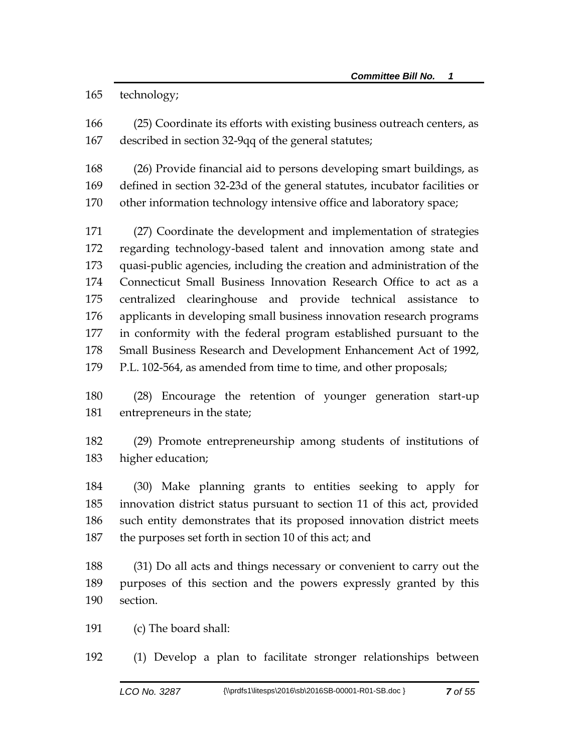technology;

 (25) Coordinate its efforts with existing business outreach centers, as described in section 32-9qq of the general statutes;

 (26) Provide financial aid to persons developing smart buildings, as defined in section 32-23d of the general statutes, incubator facilities or other information technology intensive office and laboratory space;

 (27) Coordinate the development and implementation of strategies regarding technology-based talent and innovation among state and quasi-public agencies, including the creation and administration of the Connecticut Small Business Innovation Research Office to act as a centralized clearinghouse and provide technical assistance to applicants in developing small business innovation research programs in conformity with the federal program established pursuant to the Small Business Research and Development Enhancement Act of 1992, P.L. 102-564, as amended from time to time, and other proposals;

 (28) Encourage the retention of younger generation start-up entrepreneurs in the state;

 (29) Promote entrepreneurship among students of institutions of higher education;

 (30) Make planning grants to entities seeking to apply for innovation district status pursuant to section 11 of this act, provided such entity demonstrates that its proposed innovation district meets the purposes set forth in section 10 of this act; and

 (31) Do all acts and things necessary or convenient to carry out the purposes of this section and the powers expressly granted by this section.

(c) The board shall:

(1) Develop a plan to facilitate stronger relationships between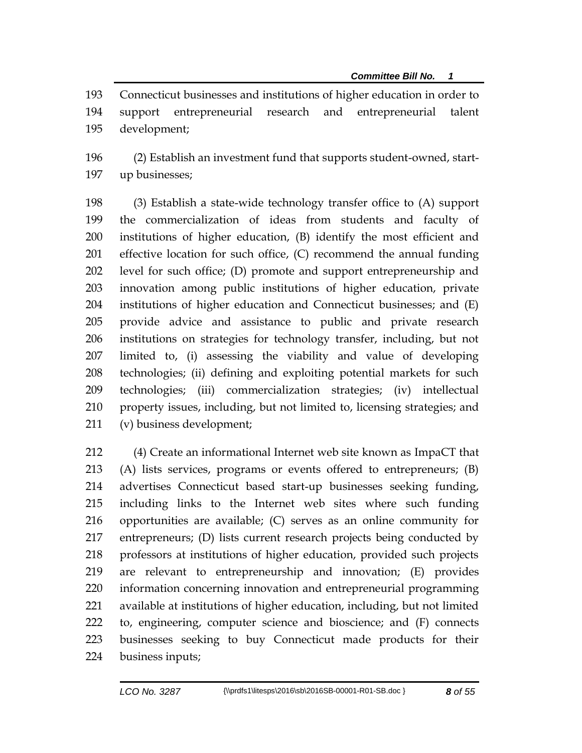Connecticut businesses and institutions of higher education in order to support entrepreneurial research and entrepreneurial talent development;

 (2) Establish an investment fund that supports student-owned, start-up businesses;

 (3) Establish a state-wide technology transfer office to (A) support the commercialization of ideas from students and faculty of institutions of higher education, (B) identify the most efficient and effective location for such office, (C) recommend the annual funding level for such office; (D) promote and support entrepreneurship and innovation among public institutions of higher education, private institutions of higher education and Connecticut businesses; and (E) provide advice and assistance to public and private research institutions on strategies for technology transfer, including, but not limited to, (i) assessing the viability and value of developing technologies; (ii) defining and exploiting potential markets for such technologies; (iii) commercialization strategies; (iv) intellectual property issues, including, but not limited to, licensing strategies; and (v) business development;

 (4) Create an informational Internet web site known as ImpaCT that (A) lists services, programs or events offered to entrepreneurs; (B) advertises Connecticut based start-up businesses seeking funding, including links to the Internet web sites where such funding opportunities are available; (C) serves as an online community for entrepreneurs; (D) lists current research projects being conducted by professors at institutions of higher education, provided such projects are relevant to entrepreneurship and innovation; (E) provides information concerning innovation and entrepreneurial programming available at institutions of higher education, including, but not limited to, engineering, computer science and bioscience; and (F) connects businesses seeking to buy Connecticut made products for their business inputs;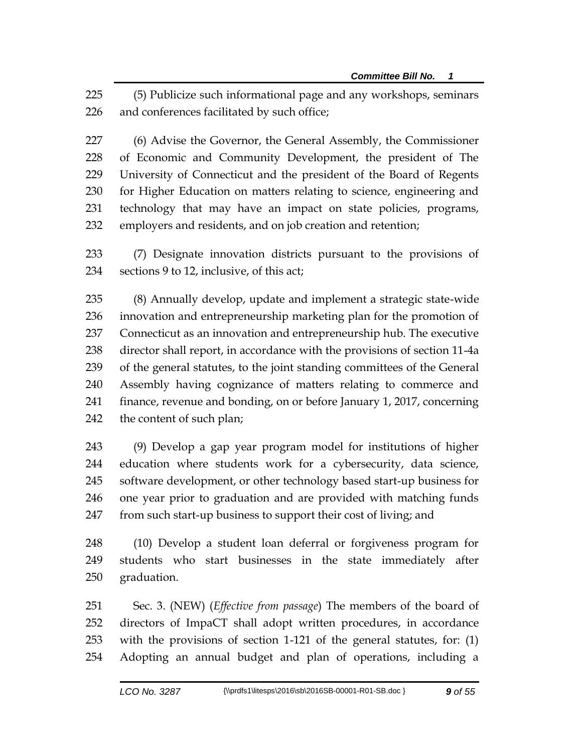(5) Publicize such informational page and any workshops, seminars and conferences facilitated by such office;

 (6) Advise the Governor, the General Assembly, the Commissioner of Economic and Community Development, the president of The University of Connecticut and the president of the Board of Regents for Higher Education on matters relating to science, engineering and technology that may have an impact on state policies, programs, employers and residents, and on job creation and retention;

 (7) Designate innovation districts pursuant to the provisions of sections 9 to 12, inclusive, of this act;

 (8) Annually develop, update and implement a strategic state-wide innovation and entrepreneurship marketing plan for the promotion of Connecticut as an innovation and entrepreneurship hub. The executive director shall report, in accordance with the provisions of section 11-4a of the general statutes, to the joint standing committees of the General Assembly having cognizance of matters relating to commerce and finance, revenue and bonding, on or before January 1, 2017, concerning the content of such plan;

 (9) Develop a gap year program model for institutions of higher education where students work for a cybersecurity, data science, software development, or other technology based start-up business for one year prior to graduation and are provided with matching funds from such start-up business to support their cost of living; and

 (10) Develop a student loan deferral or forgiveness program for students who start businesses in the state immediately after graduation.

 Sec. 3. (NEW) (*Effective from passage*) The members of the board of directors of ImpaCT shall adopt written procedures, in accordance with the provisions of section 1-121 of the general statutes, for: (1) Adopting an annual budget and plan of operations, including a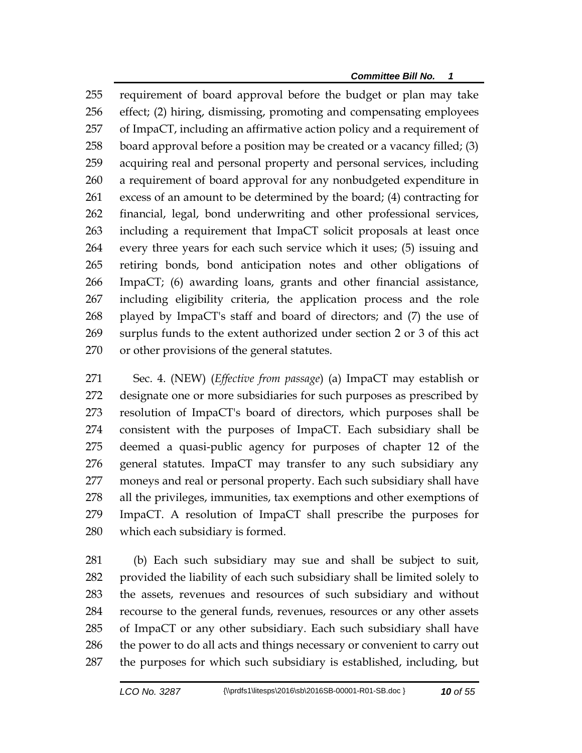requirement of board approval before the budget or plan may take effect; (2) hiring, dismissing, promoting and compensating employees of ImpaCT, including an affirmative action policy and a requirement of board approval before a position may be created or a vacancy filled; (3) acquiring real and personal property and personal services, including a requirement of board approval for any nonbudgeted expenditure in excess of an amount to be determined by the board; (4) contracting for financial, legal, bond underwriting and other professional services, including a requirement that ImpaCT solicit proposals at least once every three years for each such service which it uses; (5) issuing and retiring bonds, bond anticipation notes and other obligations of ImpaCT; (6) awarding loans, grants and other financial assistance, including eligibility criteria, the application process and the role played by ImpaCT's staff and board of directors; and (7) the use of surplus funds to the extent authorized under section 2 or 3 of this act or other provisions of the general statutes.

 Sec. 4. (NEW) (*Effective from passage*) (a) ImpaCT may establish or designate one or more subsidiaries for such purposes as prescribed by resolution of ImpaCT's board of directors, which purposes shall be consistent with the purposes of ImpaCT. Each subsidiary shall be deemed a quasi-public agency for purposes of chapter 12 of the general statutes. ImpaCT may transfer to any such subsidiary any moneys and real or personal property. Each such subsidiary shall have all the privileges, immunities, tax exemptions and other exemptions of ImpaCT. A resolution of ImpaCT shall prescribe the purposes for which each subsidiary is formed.

 (b) Each such subsidiary may sue and shall be subject to suit, provided the liability of each such subsidiary shall be limited solely to the assets, revenues and resources of such subsidiary and without recourse to the general funds, revenues, resources or any other assets of ImpaCT or any other subsidiary. Each such subsidiary shall have 286 the power to do all acts and things necessary or convenient to carry out the purposes for which such subsidiary is established, including, but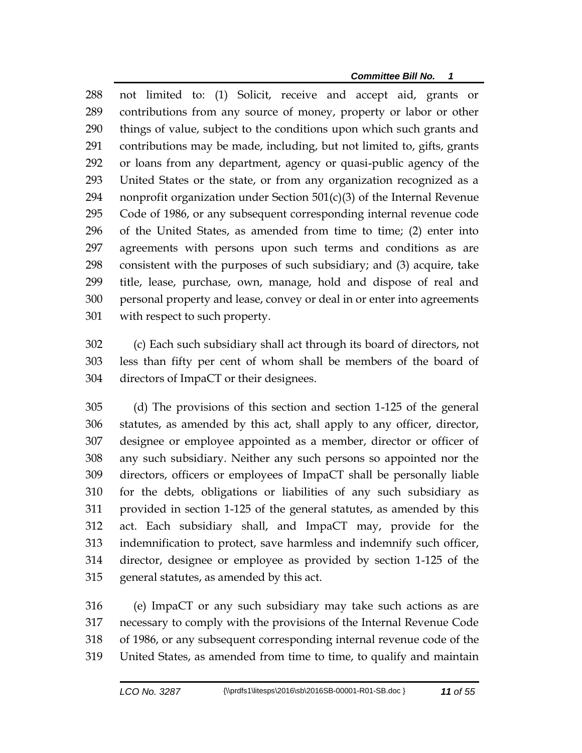not limited to: (1) Solicit, receive and accept aid, grants or contributions from any source of money, property or labor or other things of value, subject to the conditions upon which such grants and contributions may be made, including, but not limited to, gifts, grants or loans from any department, agency or quasi-public agency of the United States or the state, or from any organization recognized as a 294 nonprofit organization under Section  $501(c)(3)$  of the Internal Revenue Code of 1986, or any subsequent corresponding internal revenue code of the United States, as amended from time to time; (2) enter into agreements with persons upon such terms and conditions as are consistent with the purposes of such subsidiary; and (3) acquire, take title, lease, purchase, own, manage, hold and dispose of real and personal property and lease, convey or deal in or enter into agreements with respect to such property.

 (c) Each such subsidiary shall act through its board of directors, not less than fifty per cent of whom shall be members of the board of directors of ImpaCT or their designees.

 (d) The provisions of this section and section 1-125 of the general statutes, as amended by this act, shall apply to any officer, director, designee or employee appointed as a member, director or officer of any such subsidiary. Neither any such persons so appointed nor the directors, officers or employees of ImpaCT shall be personally liable for the debts, obligations or liabilities of any such subsidiary as provided in section 1-125 of the general statutes, as amended by this act. Each subsidiary shall, and ImpaCT may, provide for the indemnification to protect, save harmless and indemnify such officer, director, designee or employee as provided by section 1-125 of the general statutes, as amended by this act.

 (e) ImpaCT or any such subsidiary may take such actions as are necessary to comply with the provisions of the Internal Revenue Code of 1986, or any subsequent corresponding internal revenue code of the United States, as amended from time to time, to qualify and maintain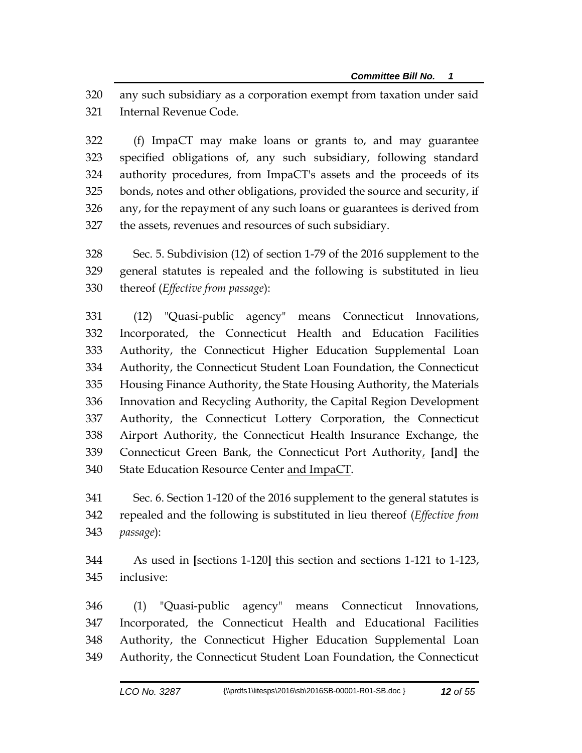any such subsidiary as a corporation exempt from taxation under said Internal Revenue Code.

 (f) ImpaCT may make loans or grants to, and may guarantee specified obligations of, any such subsidiary, following standard authority procedures, from ImpaCT's assets and the proceeds of its bonds, notes and other obligations, provided the source and security, if any, for the repayment of any such loans or guarantees is derived from the assets, revenues and resources of such subsidiary.

 Sec. 5. Subdivision (12) of section 1-79 of the 2016 supplement to the general statutes is repealed and the following is substituted in lieu thereof (*Effective from passage*):

 (12) "Quasi-public agency" means Connecticut Innovations, Incorporated, the Connecticut Health and Education Facilities Authority, the Connecticut Higher Education Supplemental Loan Authority, the Connecticut Student Loan Foundation, the Connecticut Housing Finance Authority, the State Housing Authority, the Materials Innovation and Recycling Authority, the Capital Region Development Authority, the Connecticut Lottery Corporation, the Connecticut Airport Authority, the Connecticut Health Insurance Exchange, the Connecticut Green Bank, the Connecticut Port Authority, **[**and**]** the 340 State Education Resource Center and ImpaCT.

 Sec. 6. Section 1-120 of the 2016 supplement to the general statutes is repealed and the following is substituted in lieu thereof (*Effective from passage*):

 As used in **[**sections 1-120**]** this section and sections 1-121 to 1-123, inclusive:

 (1) "Quasi-public agency" means Connecticut Innovations, Incorporated, the Connecticut Health and Educational Facilities Authority, the Connecticut Higher Education Supplemental Loan Authority, the Connecticut Student Loan Foundation, the Connecticut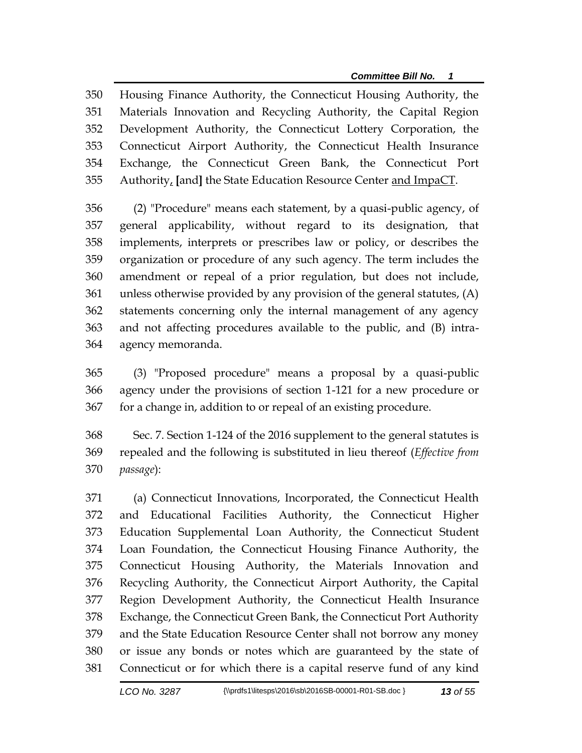Housing Finance Authority, the Connecticut Housing Authority, the Materials Innovation and Recycling Authority, the Capital Region Development Authority, the Connecticut Lottery Corporation, the Connecticut Airport Authority, the Connecticut Health Insurance Exchange, the Connecticut Green Bank, the Connecticut Port Authority, **[**and**]** the State Education Resource Center and ImpaCT.

 (2) "Procedure" means each statement, by a quasi-public agency, of general applicability, without regard to its designation, that implements, interprets or prescribes law or policy, or describes the organization or procedure of any such agency. The term includes the amendment or repeal of a prior regulation, but does not include, unless otherwise provided by any provision of the general statutes, (A) statements concerning only the internal management of any agency and not affecting procedures available to the public, and (B) intra-agency memoranda.

 (3) "Proposed procedure" means a proposal by a quasi-public agency under the provisions of section 1-121 for a new procedure or for a change in, addition to or repeal of an existing procedure.

 Sec. 7. Section 1-124 of the 2016 supplement to the general statutes is repealed and the following is substituted in lieu thereof (*Effective from passage*):

 (a) Connecticut Innovations, Incorporated, the Connecticut Health and Educational Facilities Authority, the Connecticut Higher Education Supplemental Loan Authority, the Connecticut Student Loan Foundation, the Connecticut Housing Finance Authority, the Connecticut Housing Authority, the Materials Innovation and Recycling Authority, the Connecticut Airport Authority, the Capital Region Development Authority, the Connecticut Health Insurance Exchange, the Connecticut Green Bank, the Connecticut Port Authority and the State Education Resource Center shall not borrow any money or issue any bonds or notes which are guaranteed by the state of Connecticut or for which there is a capital reserve fund of any kind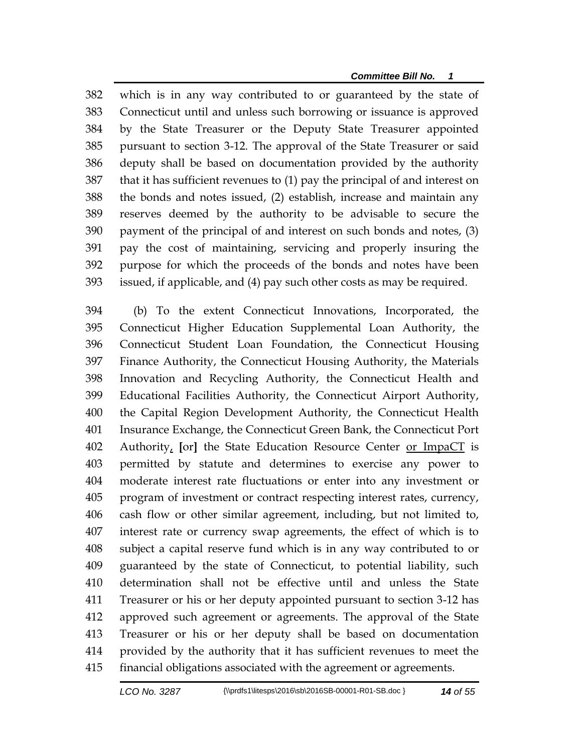*Committee Bill No. 1*

 which is in any way contributed to or guaranteed by the state of Connecticut until and unless such borrowing or issuance is approved by the State Treasurer or the Deputy State Treasurer appointed pursuant to section 3-12. The approval of the State Treasurer or said deputy shall be based on documentation provided by the authority that it has sufficient revenues to (1) pay the principal of and interest on the bonds and notes issued, (2) establish, increase and maintain any reserves deemed by the authority to be advisable to secure the payment of the principal of and interest on such bonds and notes, (3) pay the cost of maintaining, servicing and properly insuring the purpose for which the proceeds of the bonds and notes have been issued, if applicable, and (4) pay such other costs as may be required.

 (b) To the extent Connecticut Innovations, Incorporated, the Connecticut Higher Education Supplemental Loan Authority, the Connecticut Student Loan Foundation, the Connecticut Housing Finance Authority, the Connecticut Housing Authority, the Materials Innovation and Recycling Authority, the Connecticut Health and Educational Facilities Authority, the Connecticut Airport Authority, the Capital Region Development Authority, the Connecticut Health Insurance Exchange, the Connecticut Green Bank, the Connecticut Port Authority, **[**or**]** the State Education Resource Center or ImpaCT is permitted by statute and determines to exercise any power to moderate interest rate fluctuations or enter into any investment or program of investment or contract respecting interest rates, currency, cash flow or other similar agreement, including, but not limited to, interest rate or currency swap agreements, the effect of which is to subject a capital reserve fund which is in any way contributed to or guaranteed by the state of Connecticut, to potential liability, such determination shall not be effective until and unless the State Treasurer or his or her deputy appointed pursuant to section 3-12 has approved such agreement or agreements. The approval of the State Treasurer or his or her deputy shall be based on documentation provided by the authority that it has sufficient revenues to meet the financial obligations associated with the agreement or agreements.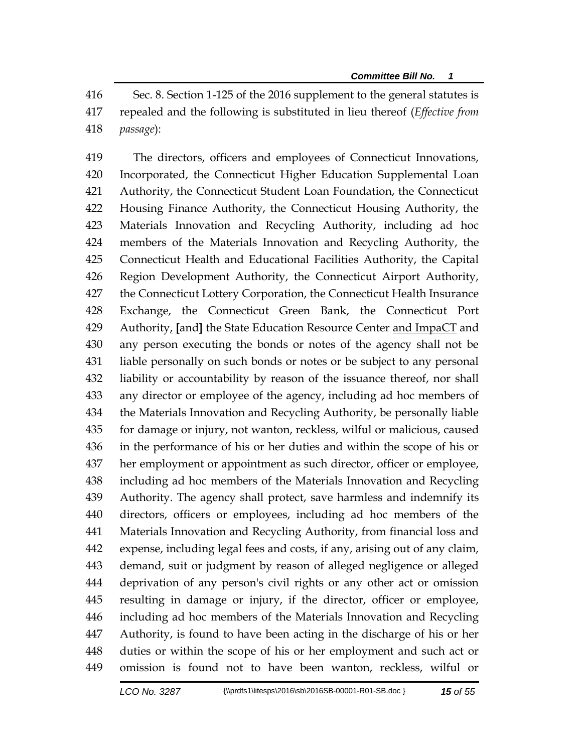Sec. 8. Section 1-125 of the 2016 supplement to the general statutes is repealed and the following is substituted in lieu thereof (*Effective from passage*):

 The directors, officers and employees of Connecticut Innovations, Incorporated, the Connecticut Higher Education Supplemental Loan Authority, the Connecticut Student Loan Foundation, the Connecticut Housing Finance Authority, the Connecticut Housing Authority, the Materials Innovation and Recycling Authority, including ad hoc members of the Materials Innovation and Recycling Authority, the Connecticut Health and Educational Facilities Authority, the Capital Region Development Authority, the Connecticut Airport Authority, the Connecticut Lottery Corporation, the Connecticut Health Insurance Exchange, the Connecticut Green Bank, the Connecticut Port Authority, **[**and**]** the State Education Resource Center and ImpaCT and any person executing the bonds or notes of the agency shall not be liable personally on such bonds or notes or be subject to any personal liability or accountability by reason of the issuance thereof, nor shall any director or employee of the agency, including ad hoc members of the Materials Innovation and Recycling Authority, be personally liable for damage or injury, not wanton, reckless, wilful or malicious, caused in the performance of his or her duties and within the scope of his or her employment or appointment as such director, officer or employee, including ad hoc members of the Materials Innovation and Recycling Authority. The agency shall protect, save harmless and indemnify its directors, officers or employees, including ad hoc members of the Materials Innovation and Recycling Authority, from financial loss and expense, including legal fees and costs, if any, arising out of any claim, demand, suit or judgment by reason of alleged negligence or alleged deprivation of any person's civil rights or any other act or omission resulting in damage or injury, if the director, officer or employee, including ad hoc members of the Materials Innovation and Recycling Authority, is found to have been acting in the discharge of his or her duties or within the scope of his or her employment and such act or omission is found not to have been wanton, reckless, wilful or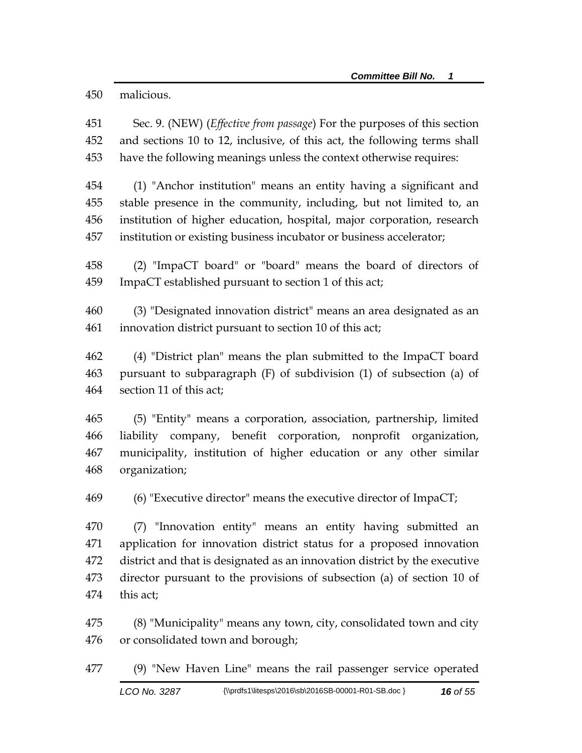malicious.

 Sec. 9. (NEW) (*Effective from passage*) For the purposes of this section and sections 10 to 12, inclusive, of this act, the following terms shall have the following meanings unless the context otherwise requires:

 (1) "Anchor institution" means an entity having a significant and stable presence in the community, including, but not limited to, an institution of higher education, hospital, major corporation, research institution or existing business incubator or business accelerator;

 (2) "ImpaCT board" or "board" means the board of directors of ImpaCT established pursuant to section 1 of this act;

 (3) "Designated innovation district" means an area designated as an innovation district pursuant to section 10 of this act;

 (4) "District plan" means the plan submitted to the ImpaCT board pursuant to subparagraph (F) of subdivision (1) of subsection (a) of section 11 of this act;

 (5) "Entity" means a corporation, association, partnership, limited liability company, benefit corporation, nonprofit organization, municipality, institution of higher education or any other similar organization;

(6) "Executive director" means the executive director of ImpaCT;

 (7) "Innovation entity" means an entity having submitted an application for innovation district status for a proposed innovation district and that is designated as an innovation district by the executive director pursuant to the provisions of subsection (a) of section 10 of this act;

 (8) "Municipality" means any town, city, consolidated town and city or consolidated town and borough;

(9) "New Haven Line" means the rail passenger service operated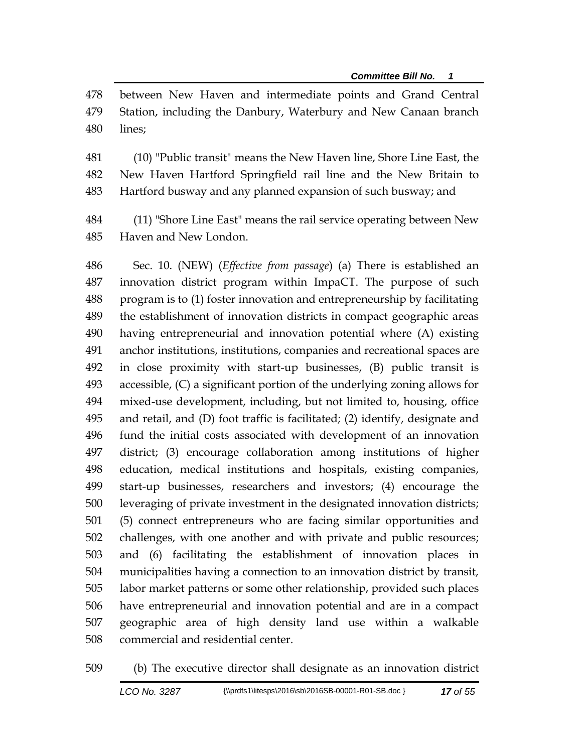between New Haven and intermediate points and Grand Central Station, including the Danbury, Waterbury and New Canaan branch lines;

 (10) "Public transit" means the New Haven line, Shore Line East, the New Haven Hartford Springfield rail line and the New Britain to Hartford busway and any planned expansion of such busway; and

 (11) "Shore Line East" means the rail service operating between New Haven and New London.

 Sec. 10. (NEW) (*Effective from passage*) (a) There is established an innovation district program within ImpaCT. The purpose of such program is to (1) foster innovation and entrepreneurship by facilitating the establishment of innovation districts in compact geographic areas having entrepreneurial and innovation potential where (A) existing anchor institutions, institutions, companies and recreational spaces are in close proximity with start-up businesses, (B) public transit is accessible, (C) a significant portion of the underlying zoning allows for mixed-use development, including, but not limited to, housing, office and retail, and (D) foot traffic is facilitated; (2) identify, designate and fund the initial costs associated with development of an innovation district; (3) encourage collaboration among institutions of higher education, medical institutions and hospitals, existing companies, start-up businesses, researchers and investors; (4) encourage the leveraging of private investment in the designated innovation districts; (5) connect entrepreneurs who are facing similar opportunities and challenges, with one another and with private and public resources; and (6) facilitating the establishment of innovation places in municipalities having a connection to an innovation district by transit, labor market patterns or some other relationship, provided such places have entrepreneurial and innovation potential and are in a compact geographic area of high density land use within a walkable commercial and residential center.

(b) The executive director shall designate as an innovation district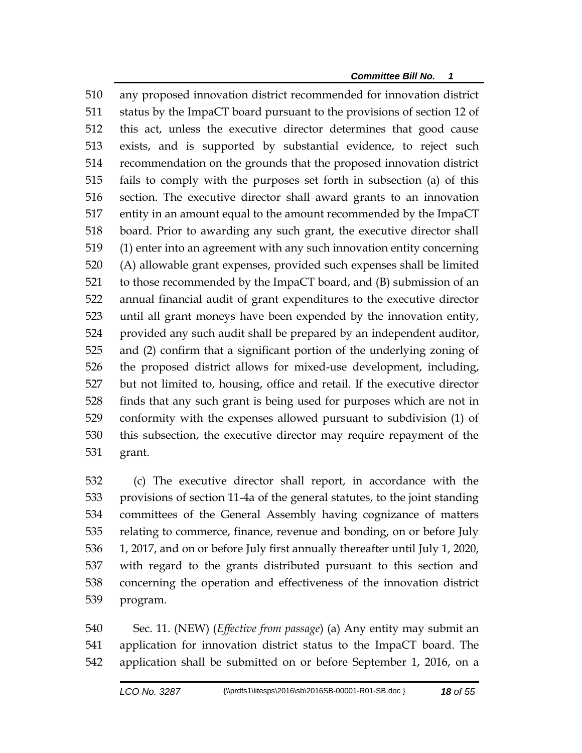any proposed innovation district recommended for innovation district status by the ImpaCT board pursuant to the provisions of section 12 of this act, unless the executive director determines that good cause exists, and is supported by substantial evidence, to reject such recommendation on the grounds that the proposed innovation district fails to comply with the purposes set forth in subsection (a) of this section. The executive director shall award grants to an innovation entity in an amount equal to the amount recommended by the ImpaCT board. Prior to awarding any such grant, the executive director shall (1) enter into an agreement with any such innovation entity concerning (A) allowable grant expenses, provided such expenses shall be limited to those recommended by the ImpaCT board, and (B) submission of an annual financial audit of grant expenditures to the executive director until all grant moneys have been expended by the innovation entity, provided any such audit shall be prepared by an independent auditor, and (2) confirm that a significant portion of the underlying zoning of the proposed district allows for mixed-use development, including, but not limited to, housing, office and retail. If the executive director finds that any such grant is being used for purposes which are not in conformity with the expenses allowed pursuant to subdivision (1) of this subsection, the executive director may require repayment of the grant.

 (c) The executive director shall report, in accordance with the provisions of section 11-4a of the general statutes, to the joint standing committees of the General Assembly having cognizance of matters relating to commerce, finance, revenue and bonding, on or before July 1, 2017, and on or before July first annually thereafter until July 1, 2020, with regard to the grants distributed pursuant to this section and concerning the operation and effectiveness of the innovation district program.

 Sec. 11. (NEW) (*Effective from passage*) (a) Any entity may submit an application for innovation district status to the ImpaCT board. The application shall be submitted on or before September 1, 2016, on a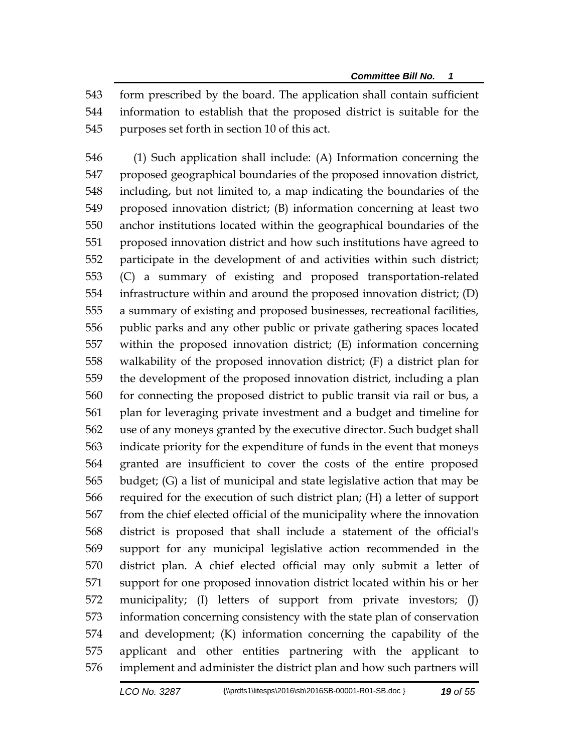form prescribed by the board. The application shall contain sufficient information to establish that the proposed district is suitable for the purposes set forth in section 10 of this act.

 (1) Such application shall include: (A) Information concerning the proposed geographical boundaries of the proposed innovation district, including, but not limited to, a map indicating the boundaries of the proposed innovation district; (B) information concerning at least two anchor institutions located within the geographical boundaries of the proposed innovation district and how such institutions have agreed to participate in the development of and activities within such district; (C) a summary of existing and proposed transportation-related infrastructure within and around the proposed innovation district; (D) a summary of existing and proposed businesses, recreational facilities, public parks and any other public or private gathering spaces located within the proposed innovation district; (E) information concerning walkability of the proposed innovation district; (F) a district plan for the development of the proposed innovation district, including a plan for connecting the proposed district to public transit via rail or bus, a plan for leveraging private investment and a budget and timeline for use of any moneys granted by the executive director. Such budget shall indicate priority for the expenditure of funds in the event that moneys granted are insufficient to cover the costs of the entire proposed budget; (G) a list of municipal and state legislative action that may be required for the execution of such district plan; (H) a letter of support from the chief elected official of the municipality where the innovation district is proposed that shall include a statement of the official's support for any municipal legislative action recommended in the district plan. A chief elected official may only submit a letter of support for one proposed innovation district located within his or her municipality; (I) letters of support from private investors; (J) information concerning consistency with the state plan of conservation and development; (K) information concerning the capability of the applicant and other entities partnering with the applicant to implement and administer the district plan and how such partners will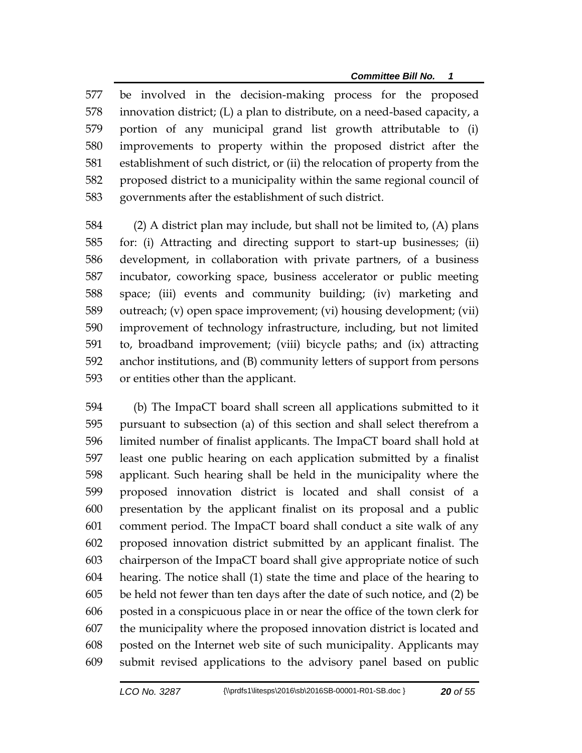be involved in the decision-making process for the proposed innovation district; (L) a plan to distribute, on a need-based capacity, a portion of any municipal grand list growth attributable to (i) improvements to property within the proposed district after the establishment of such district, or (ii) the relocation of property from the proposed district to a municipality within the same regional council of governments after the establishment of such district.

 (2) A district plan may include, but shall not be limited to, (A) plans for: (i) Attracting and directing support to start-up businesses; (ii) development, in collaboration with private partners, of a business incubator, coworking space, business accelerator or public meeting space; (iii) events and community building; (iv) marketing and outreach; (v) open space improvement; (vi) housing development; (vii) improvement of technology infrastructure, including, but not limited to, broadband improvement; (viii) bicycle paths; and (ix) attracting anchor institutions, and (B) community letters of support from persons or entities other than the applicant.

 (b) The ImpaCT board shall screen all applications submitted to it pursuant to subsection (a) of this section and shall select therefrom a limited number of finalist applicants. The ImpaCT board shall hold at least one public hearing on each application submitted by a finalist applicant. Such hearing shall be held in the municipality where the proposed innovation district is located and shall consist of a presentation by the applicant finalist on its proposal and a public comment period. The ImpaCT board shall conduct a site walk of any proposed innovation district submitted by an applicant finalist. The chairperson of the ImpaCT board shall give appropriate notice of such hearing. The notice shall (1) state the time and place of the hearing to be held not fewer than ten days after the date of such notice, and (2) be posted in a conspicuous place in or near the office of the town clerk for the municipality where the proposed innovation district is located and posted on the Internet web site of such municipality. Applicants may submit revised applications to the advisory panel based on public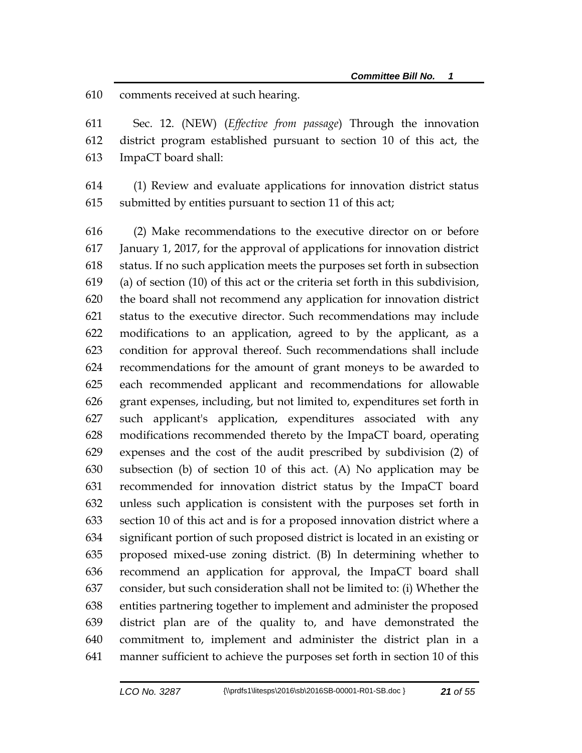comments received at such hearing.

 Sec. 12. (NEW) (*Effective from passage*) Through the innovation district program established pursuant to section 10 of this act, the ImpaCT board shall:

 (1) Review and evaluate applications for innovation district status submitted by entities pursuant to section 11 of this act;

 (2) Make recommendations to the executive director on or before January 1, 2017, for the approval of applications for innovation district status. If no such application meets the purposes set forth in subsection (a) of section (10) of this act or the criteria set forth in this subdivision, the board shall not recommend any application for innovation district status to the executive director. Such recommendations may include modifications to an application, agreed to by the applicant, as a condition for approval thereof. Such recommendations shall include recommendations for the amount of grant moneys to be awarded to each recommended applicant and recommendations for allowable grant expenses, including, but not limited to, expenditures set forth in such applicant's application, expenditures associated with any modifications recommended thereto by the ImpaCT board, operating expenses and the cost of the audit prescribed by subdivision (2) of subsection (b) of section 10 of this act. (A) No application may be recommended for innovation district status by the ImpaCT board unless such application is consistent with the purposes set forth in section 10 of this act and is for a proposed innovation district where a significant portion of such proposed district is located in an existing or proposed mixed-use zoning district. (B) In determining whether to recommend an application for approval, the ImpaCT board shall consider, but such consideration shall not be limited to: (i) Whether the entities partnering together to implement and administer the proposed district plan are of the quality to, and have demonstrated the commitment to, implement and administer the district plan in a manner sufficient to achieve the purposes set forth in section 10 of this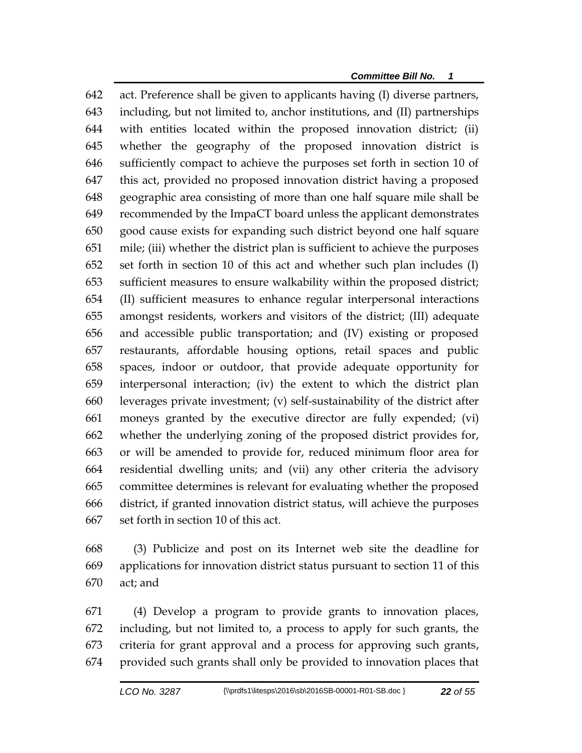act. Preference shall be given to applicants having (I) diverse partners, including, but not limited to, anchor institutions, and (II) partnerships with entities located within the proposed innovation district; (ii) whether the geography of the proposed innovation district is sufficiently compact to achieve the purposes set forth in section 10 of this act, provided no proposed innovation district having a proposed geographic area consisting of more than one half square mile shall be recommended by the ImpaCT board unless the applicant demonstrates good cause exists for expanding such district beyond one half square mile; (iii) whether the district plan is sufficient to achieve the purposes set forth in section 10 of this act and whether such plan includes (I) sufficient measures to ensure walkability within the proposed district; (II) sufficient measures to enhance regular interpersonal interactions amongst residents, workers and visitors of the district; (III) adequate and accessible public transportation; and (IV) existing or proposed restaurants, affordable housing options, retail spaces and public spaces, indoor or outdoor, that provide adequate opportunity for interpersonal interaction; (iv) the extent to which the district plan leverages private investment; (v) self-sustainability of the district after moneys granted by the executive director are fully expended; (vi) whether the underlying zoning of the proposed district provides for, or will be amended to provide for, reduced minimum floor area for residential dwelling units; and (vii) any other criteria the advisory committee determines is relevant for evaluating whether the proposed district, if granted innovation district status, will achieve the purposes set forth in section 10 of this act.

 (3) Publicize and post on its Internet web site the deadline for applications for innovation district status pursuant to section 11 of this act; and

 (4) Develop a program to provide grants to innovation places, including, but not limited to, a process to apply for such grants, the criteria for grant approval and a process for approving such grants, provided such grants shall only be provided to innovation places that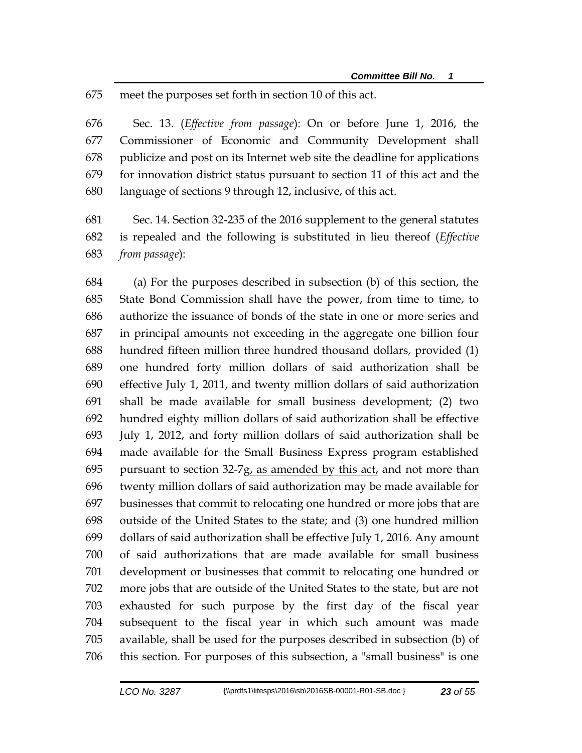meet the purposes set forth in section 10 of this act.

 Sec. 13. (*Effective from passage*): On or before June 1, 2016, the Commissioner of Economic and Community Development shall publicize and post on its Internet web site the deadline for applications for innovation district status pursuant to section 11 of this act and the language of sections 9 through 12, inclusive, of this act.

 Sec. 14. Section 32-235 of the 2016 supplement to the general statutes is repealed and the following is substituted in lieu thereof (*Effective from passage*):

 (a) For the purposes described in subsection (b) of this section, the State Bond Commission shall have the power, from time to time, to authorize the issuance of bonds of the state in one or more series and in principal amounts not exceeding in the aggregate one billion four hundred fifteen million three hundred thousand dollars, provided (1) one hundred forty million dollars of said authorization shall be effective July 1, 2011, and twenty million dollars of said authorization shall be made available for small business development; (2) two hundred eighty million dollars of said authorization shall be effective July 1, 2012, and forty million dollars of said authorization shall be made available for the Small Business Express program established 695 pursuant to section  $32-7g$ , as amended by this act, and not more than twenty million dollars of said authorization may be made available for businesses that commit to relocating one hundred or more jobs that are outside of the United States to the state; and (3) one hundred million dollars of said authorization shall be effective July 1, 2016. Any amount of said authorizations that are made available for small business development or businesses that commit to relocating one hundred or more jobs that are outside of the United States to the state, but are not exhausted for such purpose by the first day of the fiscal year subsequent to the fiscal year in which such amount was made available, shall be used for the purposes described in subsection (b) of this section. For purposes of this subsection, a "small business" is one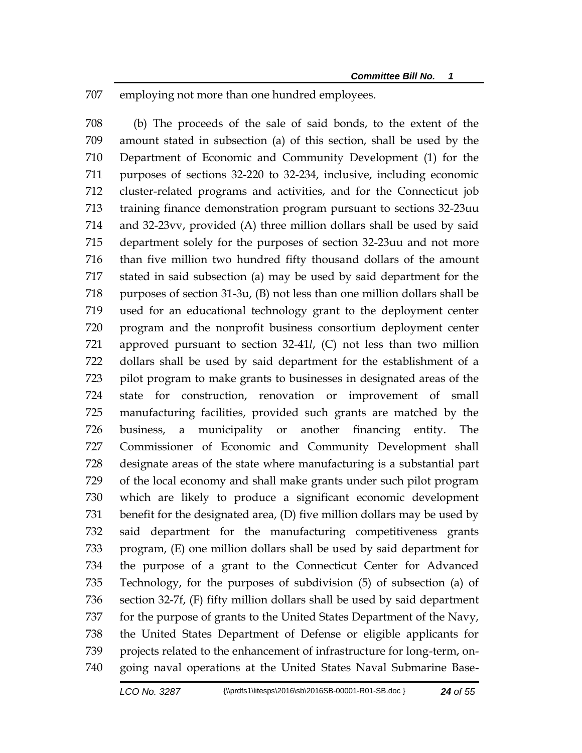employing not more than one hundred employees.

 (b) The proceeds of the sale of said bonds, to the extent of the amount stated in subsection (a) of this section, shall be used by the Department of Economic and Community Development (1) for the purposes of sections 32-220 to 32-234, inclusive, including economic cluster-related programs and activities, and for the Connecticut job training finance demonstration program pursuant to sections 32-23uu and 32-23vv, provided (A) three million dollars shall be used by said department solely for the purposes of section 32-23uu and not more than five million two hundred fifty thousand dollars of the amount stated in said subsection (a) may be used by said department for the purposes of section 31-3u, (B) not less than one million dollars shall be used for an educational technology grant to the deployment center program and the nonprofit business consortium deployment center approved pursuant to section 32-41*l*, (C) not less than two million dollars shall be used by said department for the establishment of a pilot program to make grants to businesses in designated areas of the state for construction, renovation or improvement of small manufacturing facilities, provided such grants are matched by the business, a municipality or another financing entity. The Commissioner of Economic and Community Development shall designate areas of the state where manufacturing is a substantial part of the local economy and shall make grants under such pilot program which are likely to produce a significant economic development benefit for the designated area, (D) five million dollars may be used by said department for the manufacturing competitiveness grants program, (E) one million dollars shall be used by said department for the purpose of a grant to the Connecticut Center for Advanced Technology, for the purposes of subdivision (5) of subsection (a) of section 32-7f, (F) fifty million dollars shall be used by said department for the purpose of grants to the United States Department of the Navy, the United States Department of Defense or eligible applicants for projects related to the enhancement of infrastructure for long-term, on-going naval operations at the United States Naval Submarine Base-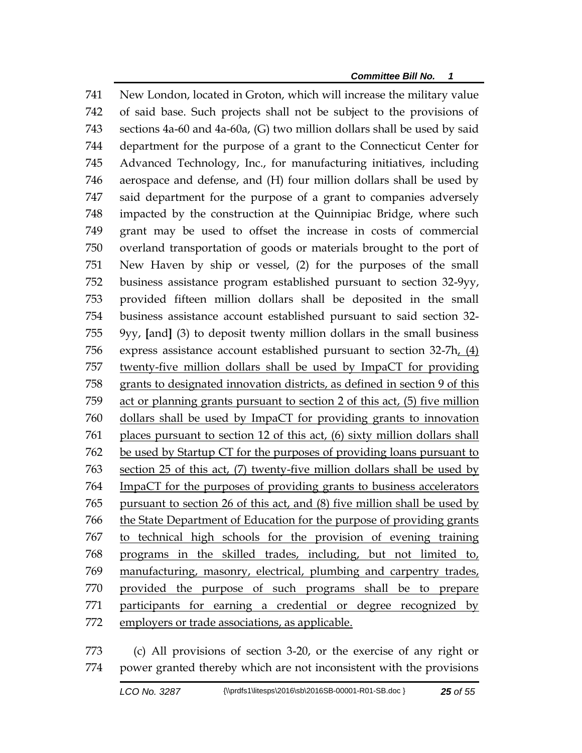New London, located in Groton, which will increase the military value of said base. Such projects shall not be subject to the provisions of sections 4a-60 and 4a-60a, (G) two million dollars shall be used by said department for the purpose of a grant to the Connecticut Center for Advanced Technology, Inc., for manufacturing initiatives, including aerospace and defense, and (H) four million dollars shall be used by said department for the purpose of a grant to companies adversely impacted by the construction at the Quinnipiac Bridge, where such grant may be used to offset the increase in costs of commercial overland transportation of goods or materials brought to the port of New Haven by ship or vessel, (2) for the purposes of the small business assistance program established pursuant to section 32-9yy, provided fifteen million dollars shall be deposited in the small business assistance account established pursuant to said section 32- 9yy, **[**and**]** (3) to deposit twenty million dollars in the small business express assistance account established pursuant to section 32-7h, (4) twenty-five million dollars shall be used by ImpaCT for providing grants to designated innovation districts, as defined in section 9 of this act or planning grants pursuant to section 2 of this act, (5) five million dollars shall be used by ImpaCT for providing grants to innovation places pursuant to section 12 of this act, (6) sixty million dollars shall be used by Startup CT for the purposes of providing loans pursuant to section 25 of this act, (7) twenty-five million dollars shall be used by ImpaCT for the purposes of providing grants to business accelerators pursuant to section 26 of this act, and (8) five million shall be used by the State Department of Education for the purpose of providing grants to technical high schools for the provision of evening training programs in the skilled trades, including, but not limited to, manufacturing, masonry, electrical, plumbing and carpentry trades, provided the purpose of such programs shall be to prepare participants for earning a credential or degree recognized by employers or trade associations, as applicable.

 (c) All provisions of section 3-20, or the exercise of any right or power granted thereby which are not inconsistent with the provisions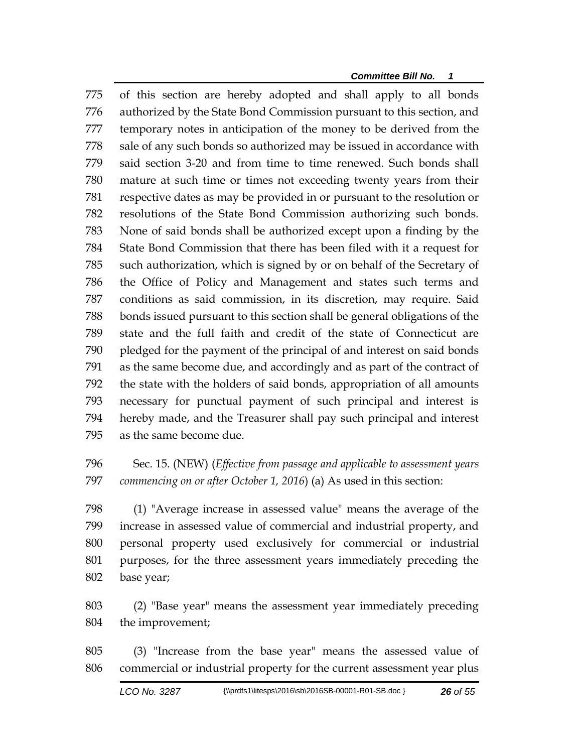of this section are hereby adopted and shall apply to all bonds authorized by the State Bond Commission pursuant to this section, and temporary notes in anticipation of the money to be derived from the sale of any such bonds so authorized may be issued in accordance with said section 3-20 and from time to time renewed. Such bonds shall mature at such time or times not exceeding twenty years from their respective dates as may be provided in or pursuant to the resolution or resolutions of the State Bond Commission authorizing such bonds. None of said bonds shall be authorized except upon a finding by the State Bond Commission that there has been filed with it a request for such authorization, which is signed by or on behalf of the Secretary of the Office of Policy and Management and states such terms and conditions as said commission, in its discretion, may require. Said bonds issued pursuant to this section shall be general obligations of the state and the full faith and credit of the state of Connecticut are pledged for the payment of the principal of and interest on said bonds as the same become due, and accordingly and as part of the contract of the state with the holders of said bonds, appropriation of all amounts necessary for punctual payment of such principal and interest is hereby made, and the Treasurer shall pay such principal and interest as the same become due.

 Sec. 15. (NEW) (*Effective from passage and applicable to assessment years commencing on or after October 1, 2016*) (a) As used in this section:

 (1) "Average increase in assessed value" means the average of the increase in assessed value of commercial and industrial property, and personal property used exclusively for commercial or industrial purposes, for the three assessment years immediately preceding the base year;

 (2) "Base year" means the assessment year immediately preceding the improvement;

 (3) "Increase from the base year" means the assessed value of commercial or industrial property for the current assessment year plus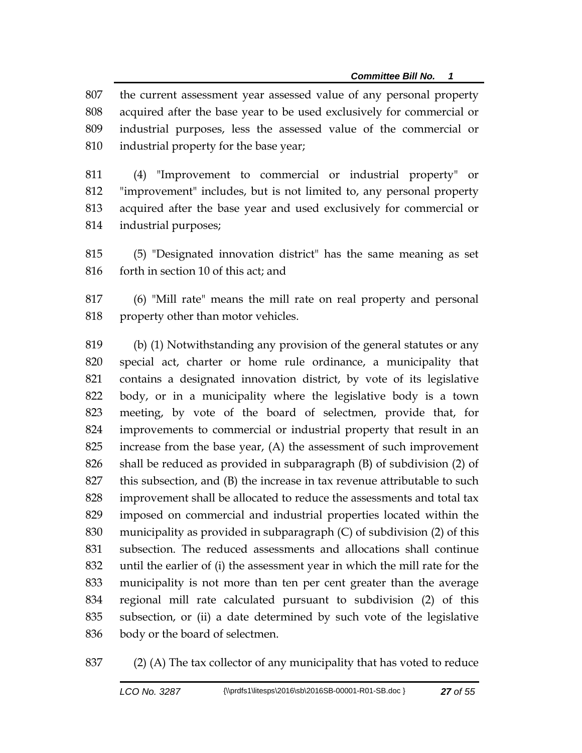the current assessment year assessed value of any personal property acquired after the base year to be used exclusively for commercial or industrial purposes, less the assessed value of the commercial or industrial property for the base year;

 (4) "Improvement to commercial or industrial property" or "improvement" includes, but is not limited to, any personal property acquired after the base year and used exclusively for commercial or industrial purposes;

 (5) "Designated innovation district" has the same meaning as set forth in section 10 of this act; and

 (6) "Mill rate" means the mill rate on real property and personal property other than motor vehicles.

 (b) (1) Notwithstanding any provision of the general statutes or any special act, charter or home rule ordinance, a municipality that contains a designated innovation district, by vote of its legislative body, or in a municipality where the legislative body is a town meeting, by vote of the board of selectmen, provide that, for improvements to commercial or industrial property that result in an increase from the base year, (A) the assessment of such improvement shall be reduced as provided in subparagraph (B) of subdivision (2) of this subsection, and (B) the increase in tax revenue attributable to such improvement shall be allocated to reduce the assessments and total tax imposed on commercial and industrial properties located within the municipality as provided in subparagraph (C) of subdivision (2) of this subsection. The reduced assessments and allocations shall continue until the earlier of (i) the assessment year in which the mill rate for the municipality is not more than ten per cent greater than the average regional mill rate calculated pursuant to subdivision (2) of this subsection, or (ii) a date determined by such vote of the legislative body or the board of selectmen.

(2) (A) The tax collector of any municipality that has voted to reduce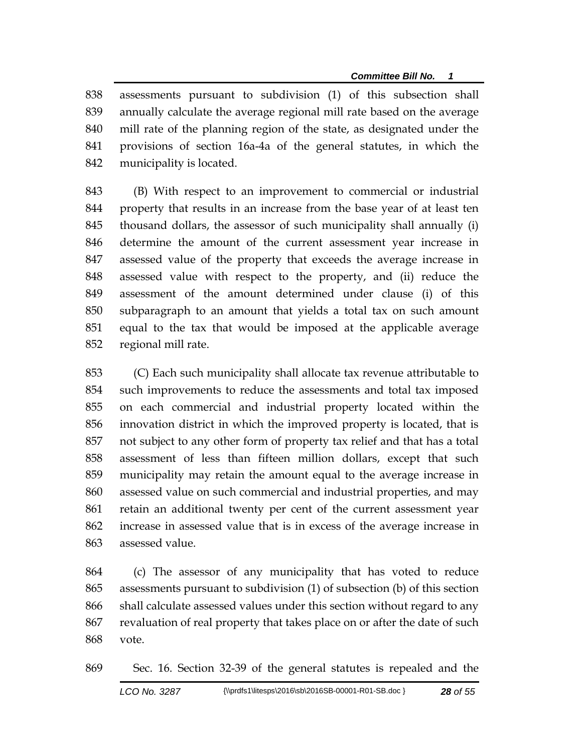assessments pursuant to subdivision (1) of this subsection shall annually calculate the average regional mill rate based on the average mill rate of the planning region of the state, as designated under the provisions of section 16a-4a of the general statutes, in which the municipality is located.

 (B) With respect to an improvement to commercial or industrial property that results in an increase from the base year of at least ten thousand dollars, the assessor of such municipality shall annually (i) determine the amount of the current assessment year increase in assessed value of the property that exceeds the average increase in assessed value with respect to the property, and (ii) reduce the assessment of the amount determined under clause (i) of this subparagraph to an amount that yields a total tax on such amount equal to the tax that would be imposed at the applicable average regional mill rate.

 (C) Each such municipality shall allocate tax revenue attributable to such improvements to reduce the assessments and total tax imposed on each commercial and industrial property located within the innovation district in which the improved property is located, that is not subject to any other form of property tax relief and that has a total assessment of less than fifteen million dollars, except that such municipality may retain the amount equal to the average increase in assessed value on such commercial and industrial properties, and may retain an additional twenty per cent of the current assessment year increase in assessed value that is in excess of the average increase in assessed value.

 (c) The assessor of any municipality that has voted to reduce assessments pursuant to subdivision (1) of subsection (b) of this section shall calculate assessed values under this section without regard to any revaluation of real property that takes place on or after the date of such vote.

Sec. 16. Section 32-39 of the general statutes is repealed and the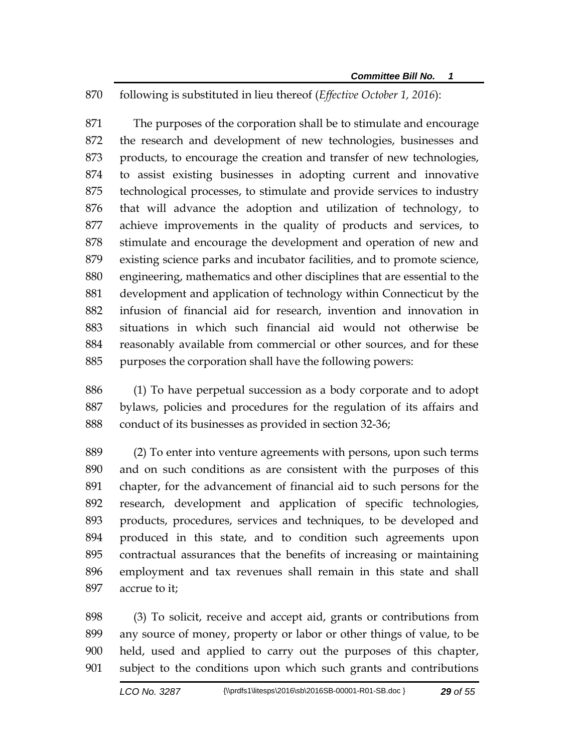following is substituted in lieu thereof (*Effective October 1, 2016*):

 The purposes of the corporation shall be to stimulate and encourage the research and development of new technologies, businesses and products, to encourage the creation and transfer of new technologies, to assist existing businesses in adopting current and innovative technological processes, to stimulate and provide services to industry that will advance the adoption and utilization of technology, to achieve improvements in the quality of products and services, to stimulate and encourage the development and operation of new and existing science parks and incubator facilities, and to promote science, engineering, mathematics and other disciplines that are essential to the development and application of technology within Connecticut by the infusion of financial aid for research, invention and innovation in situations in which such financial aid would not otherwise be reasonably available from commercial or other sources, and for these purposes the corporation shall have the following powers:

 (1) To have perpetual succession as a body corporate and to adopt bylaws, policies and procedures for the regulation of its affairs and conduct of its businesses as provided in section 32-36;

 (2) To enter into venture agreements with persons, upon such terms and on such conditions as are consistent with the purposes of this chapter, for the advancement of financial aid to such persons for the research, development and application of specific technologies, products, procedures, services and techniques, to be developed and produced in this state, and to condition such agreements upon contractual assurances that the benefits of increasing or maintaining employment and tax revenues shall remain in this state and shall accrue to it;

 (3) To solicit, receive and accept aid, grants or contributions from any source of money, property or labor or other things of value, to be held, used and applied to carry out the purposes of this chapter, subject to the conditions upon which such grants and contributions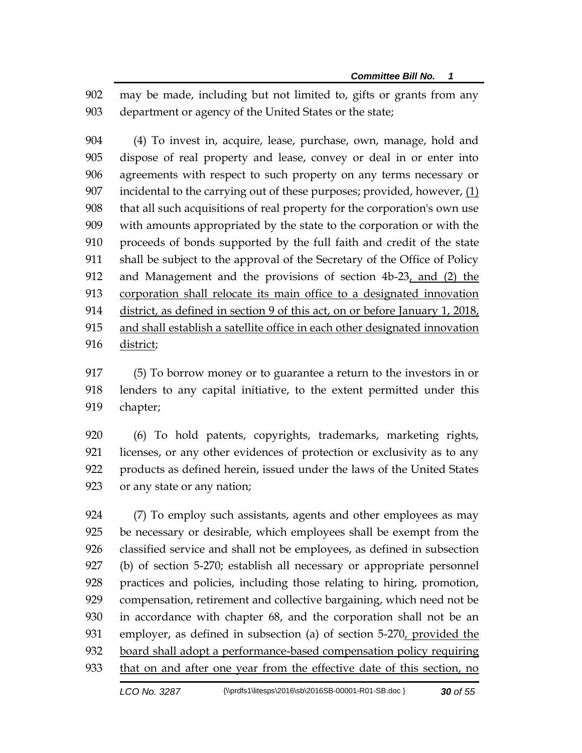may be made, including but not limited to, gifts or grants from any department or agency of the United States or the state;

 (4) To invest in, acquire, lease, purchase, own, manage, hold and dispose of real property and lease, convey or deal in or enter into agreements with respect to such property on any terms necessary or incidental to the carrying out of these purposes; provided, however, (1) that all such acquisitions of real property for the corporation's own use with amounts appropriated by the state to the corporation or with the proceeds of bonds supported by the full faith and credit of the state shall be subject to the approval of the Secretary of the Office of Policy 912 and Management and the provisions of section 4b-23, and (2) the corporation shall relocate its main office to a designated innovation district, as defined in section 9 of this act, on or before January 1, 2018, and shall establish a satellite office in each other designated innovation 916 district;

 (5) To borrow money or to guarantee a return to the investors in or lenders to any capital initiative, to the extent permitted under this chapter;

 (6) To hold patents, copyrights, trademarks, marketing rights, licenses, or any other evidences of protection or exclusivity as to any products as defined herein, issued under the laws of the United States or any state or any nation;

 (7) To employ such assistants, agents and other employees as may be necessary or desirable, which employees shall be exempt from the classified service and shall not be employees, as defined in subsection (b) of section 5-270; establish all necessary or appropriate personnel practices and policies, including those relating to hiring, promotion, compensation, retirement and collective bargaining, which need not be in accordance with chapter 68, and the corporation shall not be an 931 employer, as defined in subsection (a) of section 5-270, provided the board shall adopt a performance-based compensation policy requiring 933 that on and after one year from the effective date of this section, no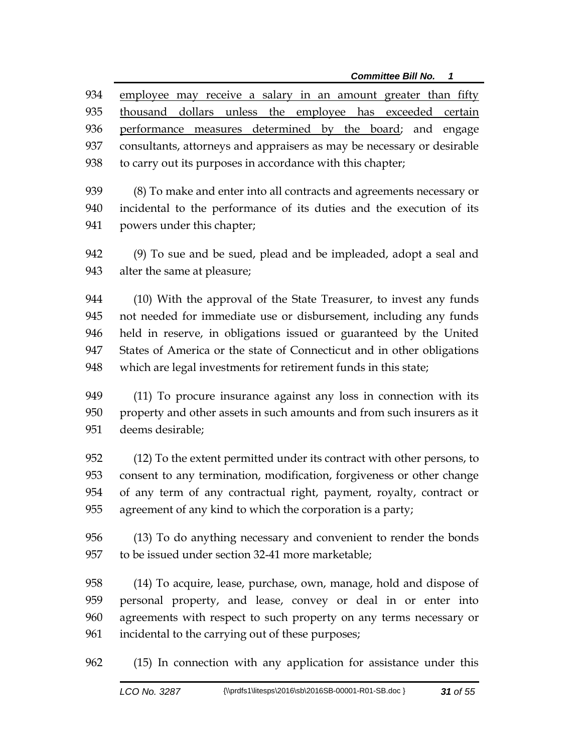employee may receive a salary in an amount greater than fifty thousand dollars unless the employee has exceeded certain performance measures determined by the board; and engage consultants, attorneys and appraisers as may be necessary or desirable to carry out its purposes in accordance with this chapter;

 (8) To make and enter into all contracts and agreements necessary or incidental to the performance of its duties and the execution of its powers under this chapter;

 (9) To sue and be sued, plead and be impleaded, adopt a seal and alter the same at pleasure;

 (10) With the approval of the State Treasurer, to invest any funds not needed for immediate use or disbursement, including any funds held in reserve, in obligations issued or guaranteed by the United States of America or the state of Connecticut and in other obligations which are legal investments for retirement funds in this state;

 (11) To procure insurance against any loss in connection with its property and other assets in such amounts and from such insurers as it deems desirable;

 (12) To the extent permitted under its contract with other persons, to consent to any termination, modification, forgiveness or other change of any term of any contractual right, payment, royalty, contract or agreement of any kind to which the corporation is a party;

 (13) To do anything necessary and convenient to render the bonds to be issued under section 32-41 more marketable;

 (14) To acquire, lease, purchase, own, manage, hold and dispose of personal property, and lease, convey or deal in or enter into agreements with respect to such property on any terms necessary or incidental to the carrying out of these purposes;

(15) In connection with any application for assistance under this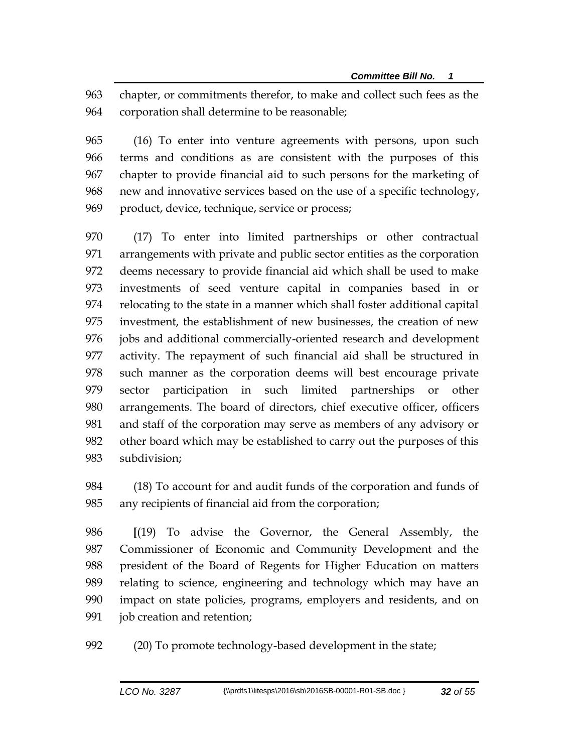chapter, or commitments therefor, to make and collect such fees as the corporation shall determine to be reasonable;

 (16) To enter into venture agreements with persons, upon such terms and conditions as are consistent with the purposes of this chapter to provide financial aid to such persons for the marketing of new and innovative services based on the use of a specific technology, product, device, technique, service or process;

 (17) To enter into limited partnerships or other contractual arrangements with private and public sector entities as the corporation deems necessary to provide financial aid which shall be used to make investments of seed venture capital in companies based in or relocating to the state in a manner which shall foster additional capital investment, the establishment of new businesses, the creation of new jobs and additional commercially-oriented research and development activity. The repayment of such financial aid shall be structured in such manner as the corporation deems will best encourage private sector participation in such limited partnerships or other arrangements. The board of directors, chief executive officer, officers and staff of the corporation may serve as members of any advisory or other board which may be established to carry out the purposes of this subdivision;

 (18) To account for and audit funds of the corporation and funds of any recipients of financial aid from the corporation;

 **[**(19) To advise the Governor, the General Assembly, the Commissioner of Economic and Community Development and the president of the Board of Regents for Higher Education on matters relating to science, engineering and technology which may have an impact on state policies, programs, employers and residents, and on job creation and retention;

(20) To promote technology-based development in the state;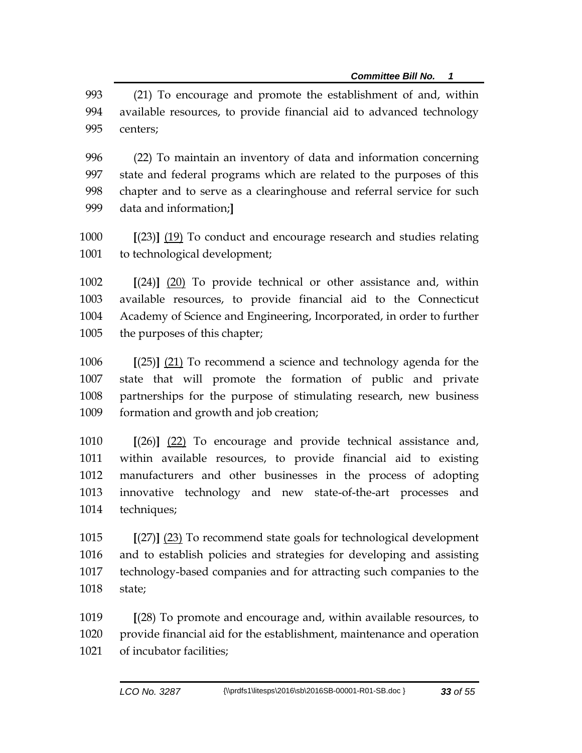(21) To encourage and promote the establishment of and, within available resources, to provide financial aid to advanced technology centers;

 (22) To maintain an inventory of data and information concerning state and federal programs which are related to the purposes of this chapter and to serve as a clearinghouse and referral service for such data and information;**]**

 **[**(23)**]** (19) To conduct and encourage research and studies relating to technological development;

 **[**(24)**]** (20) To provide technical or other assistance and, within available resources, to provide financial aid to the Connecticut Academy of Science and Engineering, Incorporated, in order to further the purposes of this chapter;

 **[**(25)**]** (21) To recommend a science and technology agenda for the state that will promote the formation of public and private partnerships for the purpose of stimulating research, new business formation and growth and job creation;

 **[**(26)**]** (22) To encourage and provide technical assistance and, within available resources, to provide financial aid to existing manufacturers and other businesses in the process of adopting innovative technology and new state-of-the-art processes and techniques;

 **[**(27)**]** (23) To recommend state goals for technological development and to establish policies and strategies for developing and assisting technology-based companies and for attracting such companies to the state;

 **[**(28) To promote and encourage and, within available resources, to provide financial aid for the establishment, maintenance and operation of incubator facilities;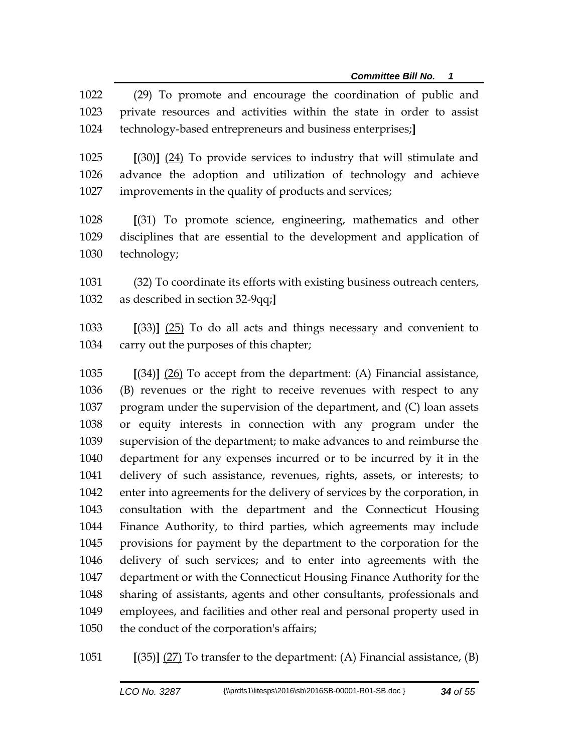(29) To promote and encourage the coordination of public and private resources and activities within the state in order to assist technology-based entrepreneurs and business enterprises;**] [**(30)**]** (24) To provide services to industry that will stimulate and advance the adoption and utilization of technology and achieve improvements in the quality of products and services; **[**(31) To promote science, engineering, mathematics and other disciplines that are essential to the development and application of technology; (32) To coordinate its efforts with existing business outreach centers, as described in section 32-9qq;**] [**(33)**]** (25) To do all acts and things necessary and convenient to carry out the purposes of this chapter; **[**(34)**]** (26) To accept from the department: (A) Financial assistance, (B) revenues or the right to receive revenues with respect to any program under the supervision of the department, and (C) loan assets or equity interests in connection with any program under the supervision of the department; to make advances to and reimburse the department for any expenses incurred or to be incurred by it in the delivery of such assistance, revenues, rights, assets, or interests; to enter into agreements for the delivery of services by the corporation, in consultation with the department and the Connecticut Housing Finance Authority, to third parties, which agreements may include provisions for payment by the department to the corporation for the delivery of such services; and to enter into agreements with the department or with the Connecticut Housing Finance Authority for the sharing of assistants, agents and other consultants, professionals and employees, and facilities and other real and personal property used in the conduct of the corporation's affairs;

**[**(35)**]** (27) To transfer to the department: (A) Financial assistance, (B)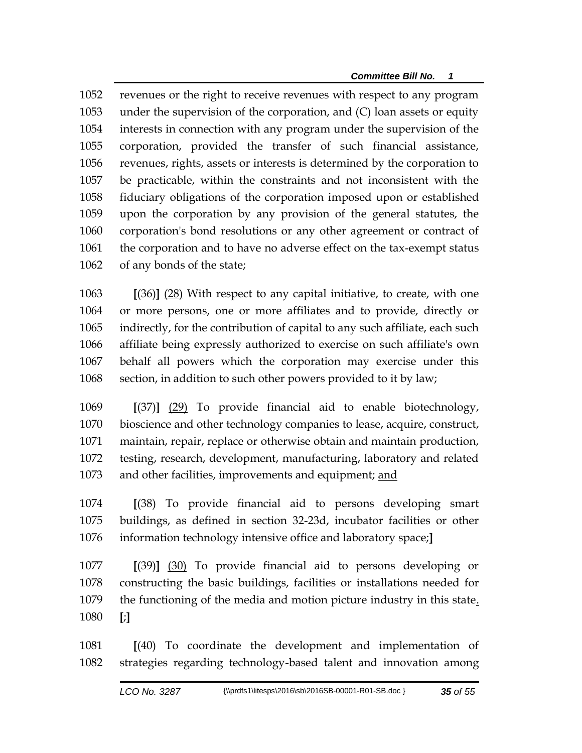revenues or the right to receive revenues with respect to any program under the supervision of the corporation, and (C) loan assets or equity interests in connection with any program under the supervision of the corporation, provided the transfer of such financial assistance, revenues, rights, assets or interests is determined by the corporation to be practicable, within the constraints and not inconsistent with the fiduciary obligations of the corporation imposed upon or established upon the corporation by any provision of the general statutes, the corporation's bond resolutions or any other agreement or contract of the corporation and to have no adverse effect on the tax-exempt status of any bonds of the state;

 **[**(36)**]** (28) With respect to any capital initiative, to create, with one or more persons, one or more affiliates and to provide, directly or indirectly, for the contribution of capital to any such affiliate, each such affiliate being expressly authorized to exercise on such affiliate's own behalf all powers which the corporation may exercise under this section, in addition to such other powers provided to it by law;

 **[**(37)**]** (29) To provide financial aid to enable biotechnology, bioscience and other technology companies to lease, acquire, construct, maintain, repair, replace or otherwise obtain and maintain production, testing, research, development, manufacturing, laboratory and related and other facilities, improvements and equipment; and

 **[**(38) To provide financial aid to persons developing smart buildings, as defined in section 32-23d, incubator facilities or other information technology intensive office and laboratory space;**]**

 **[**(39)**]** (30) To provide financial aid to persons developing or constructing the basic buildings, facilities or installations needed for 1079 the functioning of the media and motion picture industry in this state. **[**;**]**

 **[**(40) To coordinate the development and implementation of strategies regarding technology-based talent and innovation among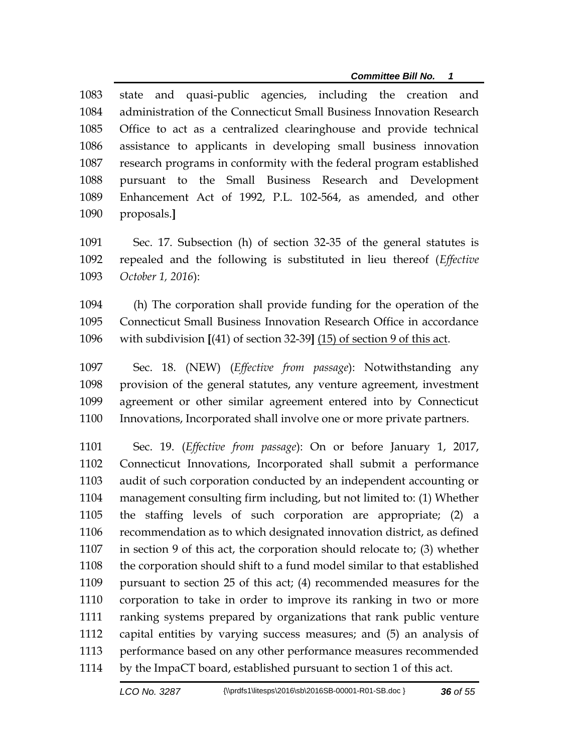state and quasi-public agencies, including the creation and administration of the Connecticut Small Business Innovation Research Office to act as a centralized clearinghouse and provide technical assistance to applicants in developing small business innovation research programs in conformity with the federal program established pursuant to the Small Business Research and Development Enhancement Act of 1992, P.L. 102-564, as amended, and other proposals.**]**

 Sec. 17. Subsection (h) of section 32-35 of the general statutes is repealed and the following is substituted in lieu thereof (*Effective October 1, 2016*):

 (h) The corporation shall provide funding for the operation of the Connecticut Small Business Innovation Research Office in accordance with subdivision **[**(41) of section 32-39**]** (15) of section 9 of this act.

 Sec. 18. (NEW) (*Effective from passage*): Notwithstanding any provision of the general statutes, any venture agreement, investment agreement or other similar agreement entered into by Connecticut Innovations, Incorporated shall involve one or more private partners.

 Sec. 19. (*Effective from passage*): On or before January 1, 2017, Connecticut Innovations, Incorporated shall submit a performance audit of such corporation conducted by an independent accounting or management consulting firm including, but not limited to: (1) Whether the staffing levels of such corporation are appropriate; (2) a recommendation as to which designated innovation district, as defined in section 9 of this act, the corporation should relocate to; (3) whether the corporation should shift to a fund model similar to that established pursuant to section 25 of this act; (4) recommended measures for the corporation to take in order to improve its ranking in two or more ranking systems prepared by organizations that rank public venture capital entities by varying success measures; and (5) an analysis of performance based on any other performance measures recommended by the ImpaCT board, established pursuant to section 1 of this act.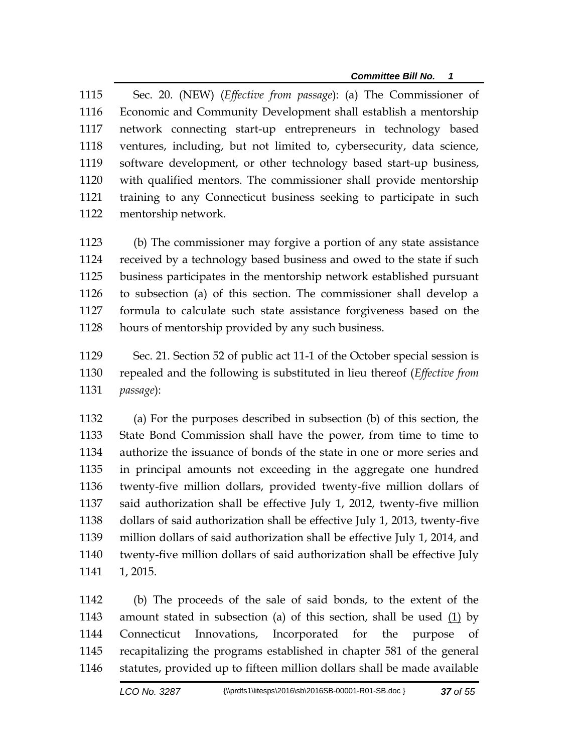Sec. 20. (NEW) (*Effective from passage*): (a) The Commissioner of Economic and Community Development shall establish a mentorship network connecting start-up entrepreneurs in technology based ventures, including, but not limited to, cybersecurity, data science, software development, or other technology based start-up business, with qualified mentors. The commissioner shall provide mentorship training to any Connecticut business seeking to participate in such mentorship network.

 (b) The commissioner may forgive a portion of any state assistance received by a technology based business and owed to the state if such business participates in the mentorship network established pursuant to subsection (a) of this section. The commissioner shall develop a formula to calculate such state assistance forgiveness based on the hours of mentorship provided by any such business.

 Sec. 21. Section 52 of public act 11-1 of the October special session is repealed and the following is substituted in lieu thereof (*Effective from passage*):

 (a) For the purposes described in subsection (b) of this section, the State Bond Commission shall have the power, from time to time to authorize the issuance of bonds of the state in one or more series and in principal amounts not exceeding in the aggregate one hundred twenty-five million dollars, provided twenty-five million dollars of said authorization shall be effective July 1, 2012, twenty-five million dollars of said authorization shall be effective July 1, 2013, twenty-five million dollars of said authorization shall be effective July 1, 2014, and twenty-five million dollars of said authorization shall be effective July 1, 2015.

 (b) The proceeds of the sale of said bonds, to the extent of the amount stated in subsection (a) of this section, shall be used (1) by Connecticut Innovations, Incorporated for the purpose of recapitalizing the programs established in chapter 581 of the general statutes, provided up to fifteen million dollars shall be made available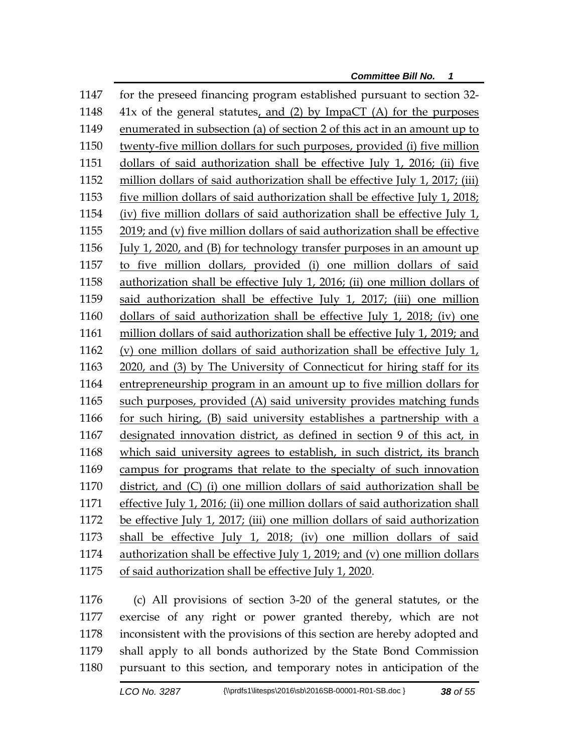for the preseed financing program established pursuant to section 32- 41x of the general statutes, and (2) by ImpaCT (A) for the purposes enumerated in subsection (a) of section 2 of this act in an amount up to twenty-five million dollars for such purposes, provided (i) five million dollars of said authorization shall be effective July 1, 2016; (ii) five million dollars of said authorization shall be effective July 1, 2017; (iii) five million dollars of said authorization shall be effective July 1, 2018; (iv) five million dollars of said authorization shall be effective July 1, 2019; and (v) five million dollars of said authorization shall be effective July 1, 2020, and (B) for technology transfer purposes in an amount up to five million dollars, provided (i) one million dollars of said authorization shall be effective July 1, 2016; (ii) one million dollars of said authorization shall be effective July 1, 2017; (iii) one million dollars of said authorization shall be effective July 1, 2018; (iv) one million dollars of said authorization shall be effective July 1, 2019; and (v) one million dollars of said authorization shall be effective July 1, 2020, and (3) by The University of Connecticut for hiring staff for its entrepreneurship program in an amount up to five million dollars for such purposes, provided (A) said university provides matching funds for such hiring, (B) said university establishes a partnership with a designated innovation district, as defined in section 9 of this act, in which said university agrees to establish, in such district, its branch campus for programs that relate to the specialty of such innovation district, and (C) (i) one million dollars of said authorization shall be effective July 1, 2016; (ii) one million dollars of said authorization shall be effective July 1, 2017; (iii) one million dollars of said authorization shall be effective July 1, 2018; (iv) one million dollars of said authorization shall be effective July 1, 2019; and (v) one million dollars of said authorization shall be effective July 1, 2020.

 (c) All provisions of section 3-20 of the general statutes, or the exercise of any right or power granted thereby, which are not inconsistent with the provisions of this section are hereby adopted and shall apply to all bonds authorized by the State Bond Commission pursuant to this section, and temporary notes in anticipation of the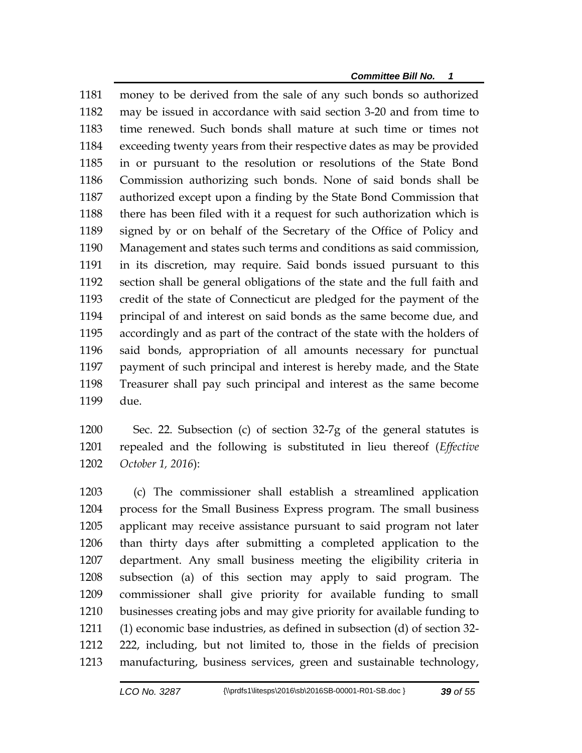money to be derived from the sale of any such bonds so authorized may be issued in accordance with said section 3-20 and from time to time renewed. Such bonds shall mature at such time or times not exceeding twenty years from their respective dates as may be provided in or pursuant to the resolution or resolutions of the State Bond Commission authorizing such bonds. None of said bonds shall be authorized except upon a finding by the State Bond Commission that there has been filed with it a request for such authorization which is signed by or on behalf of the Secretary of the Office of Policy and Management and states such terms and conditions as said commission, in its discretion, may require. Said bonds issued pursuant to this section shall be general obligations of the state and the full faith and credit of the state of Connecticut are pledged for the payment of the principal of and interest on said bonds as the same become due, and accordingly and as part of the contract of the state with the holders of said bonds, appropriation of all amounts necessary for punctual payment of such principal and interest is hereby made, and the State Treasurer shall pay such principal and interest as the same become due.

 Sec. 22. Subsection (c) of section 32-7g of the general statutes is repealed and the following is substituted in lieu thereof (*Effective October 1, 2016*):

 (c) The commissioner shall establish a streamlined application process for the Small Business Express program. The small business applicant may receive assistance pursuant to said program not later than thirty days after submitting a completed application to the department. Any small business meeting the eligibility criteria in subsection (a) of this section may apply to said program. The commissioner shall give priority for available funding to small businesses creating jobs and may give priority for available funding to (1) economic base industries, as defined in subsection (d) of section 32- 222, including, but not limited to, those in the fields of precision manufacturing, business services, green and sustainable technology,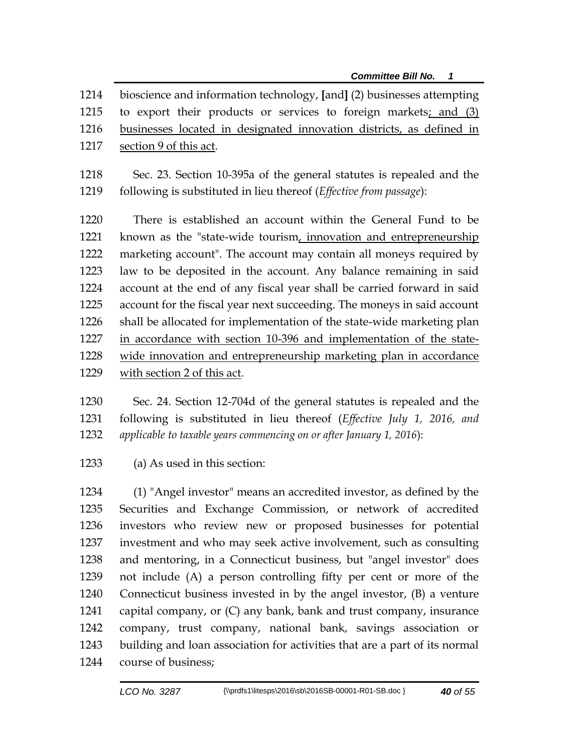bioscience and information technology, **[**and**]** (2) businesses attempting to export their products or services to foreign markets; and (3) businesses located in designated innovation districts, as defined in section 9 of this act.

 Sec. 23. Section 10-395a of the general statutes is repealed and the following is substituted in lieu thereof (*Effective from passage*):

 There is established an account within the General Fund to be known as the "state-wide tourism, innovation and entrepreneurship marketing account". The account may contain all moneys required by law to be deposited in the account. Any balance remaining in said account at the end of any fiscal year shall be carried forward in said account for the fiscal year next succeeding. The moneys in said account shall be allocated for implementation of the state-wide marketing plan in accordance with section 10-396 and implementation of the state- wide innovation and entrepreneurship marketing plan in accordance with section 2 of this act.

 Sec. 24. Section 12-704d of the general statutes is repealed and the following is substituted in lieu thereof (*Effective July 1, 2016, and applicable to taxable years commencing on or after January 1, 2016*):

(a) As used in this section:

 (1) "Angel investor" means an accredited investor, as defined by the Securities and Exchange Commission, or network of accredited investors who review new or proposed businesses for potential investment and who may seek active involvement, such as consulting and mentoring, in a Connecticut business, but "angel investor" does not include (A) a person controlling fifty per cent or more of the Connecticut business invested in by the angel investor, (B) a venture capital company, or (C) any bank, bank and trust company, insurance company, trust company, national bank, savings association or building and loan association for activities that are a part of its normal course of business;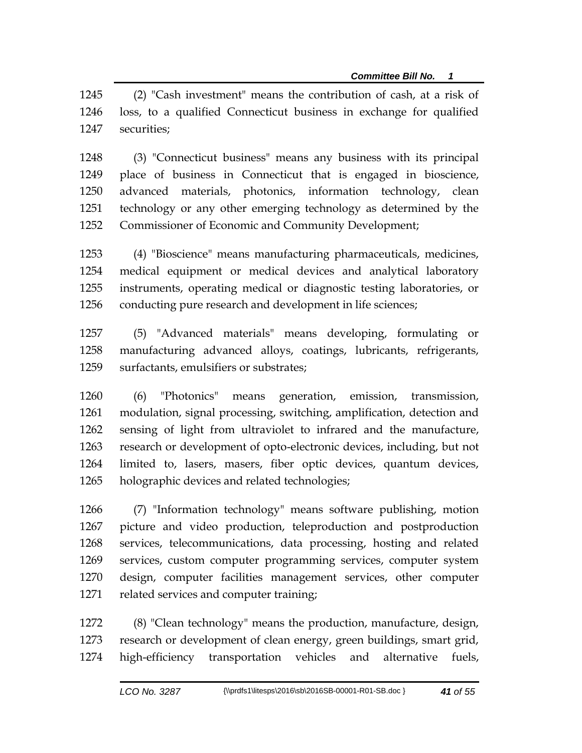(2) "Cash investment" means the contribution of cash, at a risk of loss, to a qualified Connecticut business in exchange for qualified securities;

 (3) "Connecticut business" means any business with its principal place of business in Connecticut that is engaged in bioscience, advanced materials, photonics, information technology, clean technology or any other emerging technology as determined by the Commissioner of Economic and Community Development;

 (4) "Bioscience" means manufacturing pharmaceuticals, medicines, medical equipment or medical devices and analytical laboratory instruments, operating medical or diagnostic testing laboratories, or 1256 conducting pure research and development in life sciences;

 (5) "Advanced materials" means developing, formulating or manufacturing advanced alloys, coatings, lubricants, refrigerants, surfactants, emulsifiers or substrates;

 (6) "Photonics" means generation, emission, transmission, modulation, signal processing, switching, amplification, detection and sensing of light from ultraviolet to infrared and the manufacture, research or development of opto-electronic devices, including, but not limited to, lasers, masers, fiber optic devices, quantum devices, holographic devices and related technologies;

 (7) "Information technology" means software publishing, motion picture and video production, teleproduction and postproduction services, telecommunications, data processing, hosting and related services, custom computer programming services, computer system design, computer facilities management services, other computer related services and computer training;

 (8) "Clean technology" means the production, manufacture, design, research or development of clean energy, green buildings, smart grid, high-efficiency transportation vehicles and alternative fuels,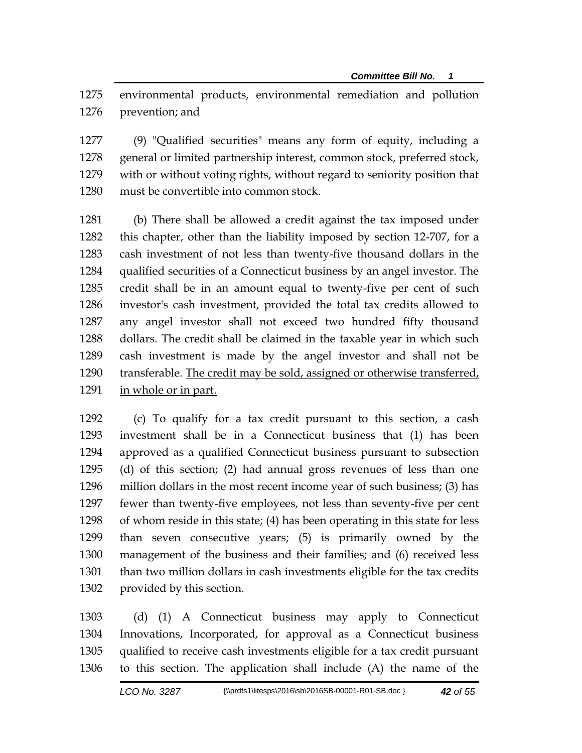environmental products, environmental remediation and pollution prevention; and

 (9) "Qualified securities" means any form of equity, including a general or limited partnership interest, common stock, preferred stock, with or without voting rights, without regard to seniority position that must be convertible into common stock.

 (b) There shall be allowed a credit against the tax imposed under this chapter, other than the liability imposed by section 12-707, for a cash investment of not less than twenty-five thousand dollars in the qualified securities of a Connecticut business by an angel investor. The credit shall be in an amount equal to twenty-five per cent of such investor's cash investment, provided the total tax credits allowed to any angel investor shall not exceed two hundred fifty thousand dollars. The credit shall be claimed in the taxable year in which such cash investment is made by the angel investor and shall not be transferable. The credit may be sold, assigned or otherwise transferred, in whole or in part.

 (c) To qualify for a tax credit pursuant to this section, a cash investment shall be in a Connecticut business that (1) has been approved as a qualified Connecticut business pursuant to subsection (d) of this section; (2) had annual gross revenues of less than one million dollars in the most recent income year of such business; (3) has fewer than twenty-five employees, not less than seventy-five per cent of whom reside in this state; (4) has been operating in this state for less than seven consecutive years; (5) is primarily owned by the management of the business and their families; and (6) received less than two million dollars in cash investments eligible for the tax credits provided by this section.

 (d) (1) A Connecticut business may apply to Connecticut Innovations, Incorporated, for approval as a Connecticut business qualified to receive cash investments eligible for a tax credit pursuant to this section. The application shall include (A) the name of the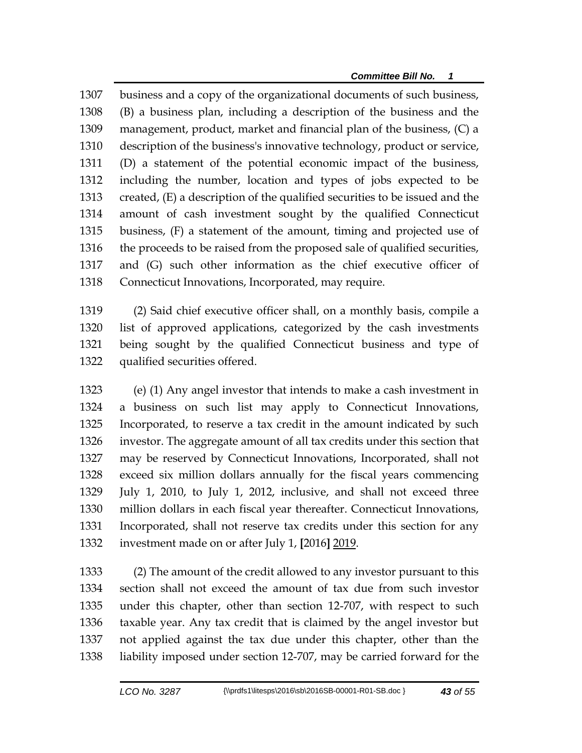business and a copy of the organizational documents of such business, (B) a business plan, including a description of the business and the management, product, market and financial plan of the business, (C) a description of the business's innovative technology, product or service, (D) a statement of the potential economic impact of the business, including the number, location and types of jobs expected to be created, (E) a description of the qualified securities to be issued and the amount of cash investment sought by the qualified Connecticut business, (F) a statement of the amount, timing and projected use of the proceeds to be raised from the proposed sale of qualified securities, and (G) such other information as the chief executive officer of Connecticut Innovations, Incorporated, may require.

 (2) Said chief executive officer shall, on a monthly basis, compile a list of approved applications, categorized by the cash investments being sought by the qualified Connecticut business and type of qualified securities offered.

 (e) (1) Any angel investor that intends to make a cash investment in a business on such list may apply to Connecticut Innovations, Incorporated, to reserve a tax credit in the amount indicated by such investor. The aggregate amount of all tax credits under this section that may be reserved by Connecticut Innovations, Incorporated, shall not exceed six million dollars annually for the fiscal years commencing July 1, 2010, to July 1, 2012, inclusive, and shall not exceed three million dollars in each fiscal year thereafter. Connecticut Innovations, Incorporated, shall not reserve tax credits under this section for any investment made on or after July 1, **[**2016**]** 2019.

 (2) The amount of the credit allowed to any investor pursuant to this section shall not exceed the amount of tax due from such investor under this chapter, other than section 12-707, with respect to such taxable year. Any tax credit that is claimed by the angel investor but not applied against the tax due under this chapter, other than the liability imposed under section 12-707, may be carried forward for the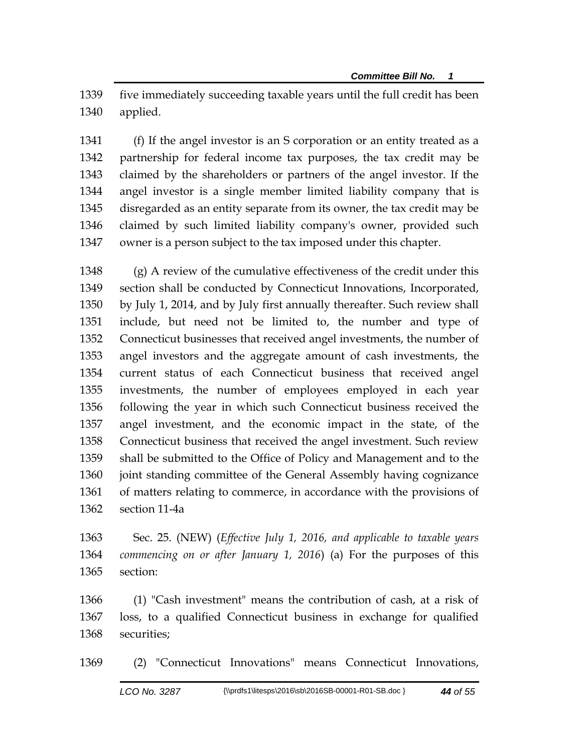five immediately succeeding taxable years until the full credit has been applied.

 (f) If the angel investor is an S corporation or an entity treated as a partnership for federal income tax purposes, the tax credit may be claimed by the shareholders or partners of the angel investor. If the angel investor is a single member limited liability company that is disregarded as an entity separate from its owner, the tax credit may be claimed by such limited liability company's owner, provided such owner is a person subject to the tax imposed under this chapter.

 (g) A review of the cumulative effectiveness of the credit under this section shall be conducted by Connecticut Innovations, Incorporated, by July 1, 2014, and by July first annually thereafter. Such review shall include, but need not be limited to, the number and type of Connecticut businesses that received angel investments, the number of angel investors and the aggregate amount of cash investments, the current status of each Connecticut business that received angel investments, the number of employees employed in each year following the year in which such Connecticut business received the angel investment, and the economic impact in the state, of the Connecticut business that received the angel investment. Such review shall be submitted to the Office of Policy and Management and to the joint standing committee of the General Assembly having cognizance of matters relating to commerce, in accordance with the provisions of section 11-4a

 Sec. 25. (NEW) (*Effective July 1, 2016, and applicable to taxable years commencing on or after January 1, 2016*) (a) For the purposes of this section:

 (1) "Cash investment" means the contribution of cash, at a risk of loss, to a qualified Connecticut business in exchange for qualified securities;

(2) "Connecticut Innovations" means Connecticut Innovations,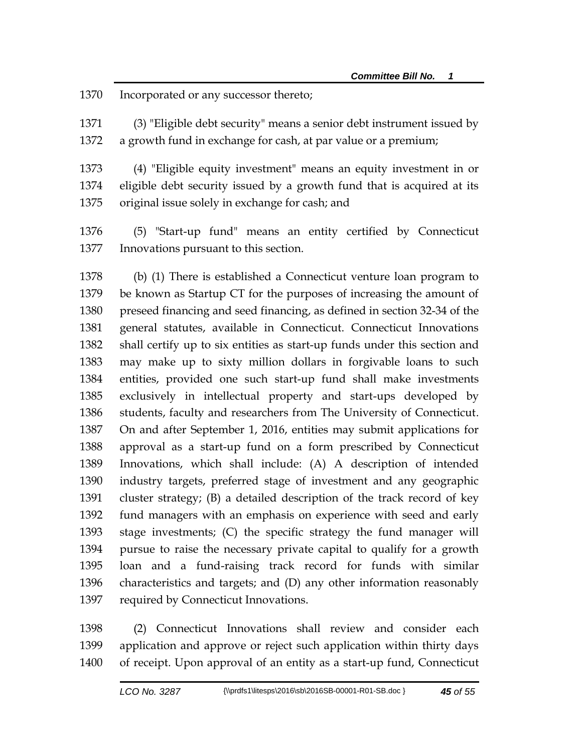Incorporated or any successor thereto;

 (3) "Eligible debt security" means a senior debt instrument issued by a growth fund in exchange for cash, at par value or a premium;

 (4) "Eligible equity investment" means an equity investment in or eligible debt security issued by a growth fund that is acquired at its original issue solely in exchange for cash; and

 (5) "Start-up fund" means an entity certified by Connecticut Innovations pursuant to this section.

 (b) (1) There is established a Connecticut venture loan program to be known as Startup CT for the purposes of increasing the amount of preseed financing and seed financing, as defined in section 32-34 of the general statutes, available in Connecticut. Connecticut Innovations shall certify up to six entities as start-up funds under this section and may make up to sixty million dollars in forgivable loans to such entities, provided one such start-up fund shall make investments exclusively in intellectual property and start-ups developed by students, faculty and researchers from The University of Connecticut. On and after September 1, 2016, entities may submit applications for approval as a start-up fund on a form prescribed by Connecticut Innovations, which shall include: (A) A description of intended industry targets, preferred stage of investment and any geographic cluster strategy; (B) a detailed description of the track record of key fund managers with an emphasis on experience with seed and early stage investments; (C) the specific strategy the fund manager will pursue to raise the necessary private capital to qualify for a growth loan and a fund-raising track record for funds with similar characteristics and targets; and (D) any other information reasonably required by Connecticut Innovations.

 (2) Connecticut Innovations shall review and consider each application and approve or reject such application within thirty days of receipt. Upon approval of an entity as a start-up fund, Connecticut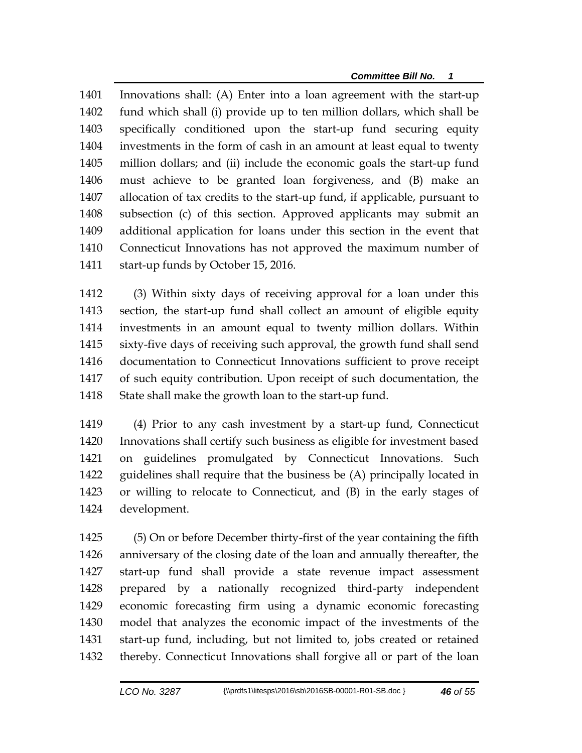*Committee Bill No. 1*

 Innovations shall: (A) Enter into a loan agreement with the start-up fund which shall (i) provide up to ten million dollars, which shall be specifically conditioned upon the start-up fund securing equity investments in the form of cash in an amount at least equal to twenty million dollars; and (ii) include the economic goals the start-up fund must achieve to be granted loan forgiveness, and (B) make an allocation of tax credits to the start-up fund, if applicable, pursuant to subsection (c) of this section. Approved applicants may submit an additional application for loans under this section in the event that Connecticut Innovations has not approved the maximum number of start-up funds by October 15, 2016.

 (3) Within sixty days of receiving approval for a loan under this section, the start-up fund shall collect an amount of eligible equity investments in an amount equal to twenty million dollars. Within sixty-five days of receiving such approval, the growth fund shall send documentation to Connecticut Innovations sufficient to prove receipt of such equity contribution. Upon receipt of such documentation, the State shall make the growth loan to the start-up fund.

 (4) Prior to any cash investment by a start-up fund, Connecticut Innovations shall certify such business as eligible for investment based on guidelines promulgated by Connecticut Innovations. Such guidelines shall require that the business be (A) principally located in or willing to relocate to Connecticut, and (B) in the early stages of development.

 (5) On or before December thirty-first of the year containing the fifth anniversary of the closing date of the loan and annually thereafter, the start-up fund shall provide a state revenue impact assessment prepared by a nationally recognized third-party independent economic forecasting firm using a dynamic economic forecasting model that analyzes the economic impact of the investments of the start-up fund, including, but not limited to, jobs created or retained thereby. Connecticut Innovations shall forgive all or part of the loan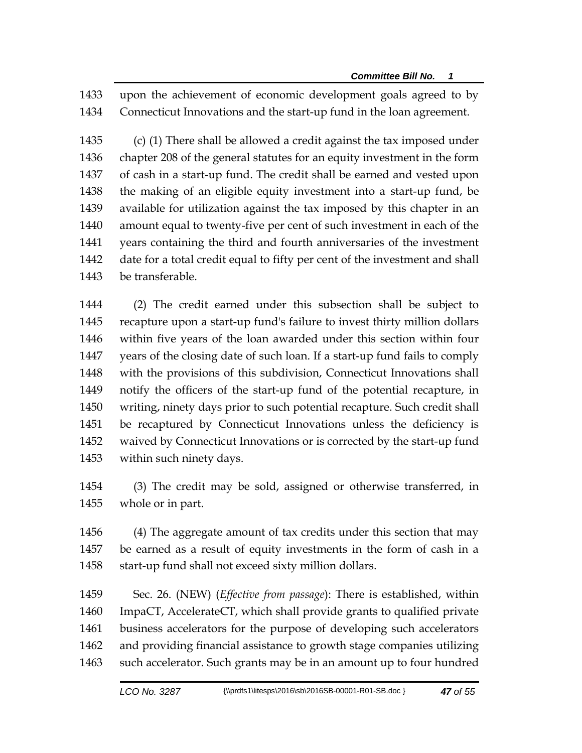upon the achievement of economic development goals agreed to by Connecticut Innovations and the start-up fund in the loan agreement.

 (c) (1) There shall be allowed a credit against the tax imposed under chapter 208 of the general statutes for an equity investment in the form of cash in a start-up fund. The credit shall be earned and vested upon the making of an eligible equity investment into a start-up fund, be available for utilization against the tax imposed by this chapter in an amount equal to twenty-five per cent of such investment in each of the years containing the third and fourth anniversaries of the investment date for a total credit equal to fifty per cent of the investment and shall be transferable.

 (2) The credit earned under this subsection shall be subject to recapture upon a start-up fund's failure to invest thirty million dollars within five years of the loan awarded under this section within four years of the closing date of such loan. If a start-up fund fails to comply with the provisions of this subdivision, Connecticut Innovations shall notify the officers of the start-up fund of the potential recapture, in writing, ninety days prior to such potential recapture. Such credit shall be recaptured by Connecticut Innovations unless the deficiency is waived by Connecticut Innovations or is corrected by the start-up fund within such ninety days.

 (3) The credit may be sold, assigned or otherwise transferred, in whole or in part.

 (4) The aggregate amount of tax credits under this section that may be earned as a result of equity investments in the form of cash in a 1458 start-up fund shall not exceed sixty million dollars.

 Sec. 26. (NEW) (*Effective from passage*): There is established, within ImpaCT, AccelerateCT, which shall provide grants to qualified private business accelerators for the purpose of developing such accelerators and providing financial assistance to growth stage companies utilizing such accelerator. Such grants may be in an amount up to four hundred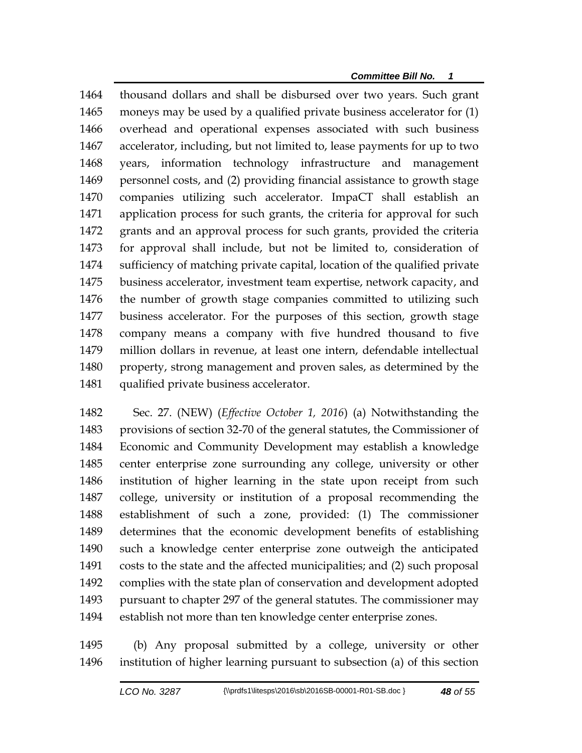thousand dollars and shall be disbursed over two years. Such grant moneys may be used by a qualified private business accelerator for (1) overhead and operational expenses associated with such business accelerator, including, but not limited to, lease payments for up to two years, information technology infrastructure and management personnel costs, and (2) providing financial assistance to growth stage companies utilizing such accelerator. ImpaCT shall establish an application process for such grants, the criteria for approval for such grants and an approval process for such grants, provided the criteria for approval shall include, but not be limited to, consideration of sufficiency of matching private capital, location of the qualified private business accelerator, investment team expertise, network capacity, and the number of growth stage companies committed to utilizing such business accelerator. For the purposes of this section, growth stage company means a company with five hundred thousand to five million dollars in revenue, at least one intern, defendable intellectual property, strong management and proven sales, as determined by the qualified private business accelerator.

 Sec. 27. (NEW) (*Effective October 1, 2016*) (a) Notwithstanding the provisions of section 32-70 of the general statutes, the Commissioner of Economic and Community Development may establish a knowledge center enterprise zone surrounding any college, university or other institution of higher learning in the state upon receipt from such college, university or institution of a proposal recommending the establishment of such a zone, provided: (1) The commissioner determines that the economic development benefits of establishing such a knowledge center enterprise zone outweigh the anticipated costs to the state and the affected municipalities; and (2) such proposal complies with the state plan of conservation and development adopted pursuant to chapter 297 of the general statutes. The commissioner may establish not more than ten knowledge center enterprise zones.

 (b) Any proposal submitted by a college, university or other institution of higher learning pursuant to subsection (a) of this section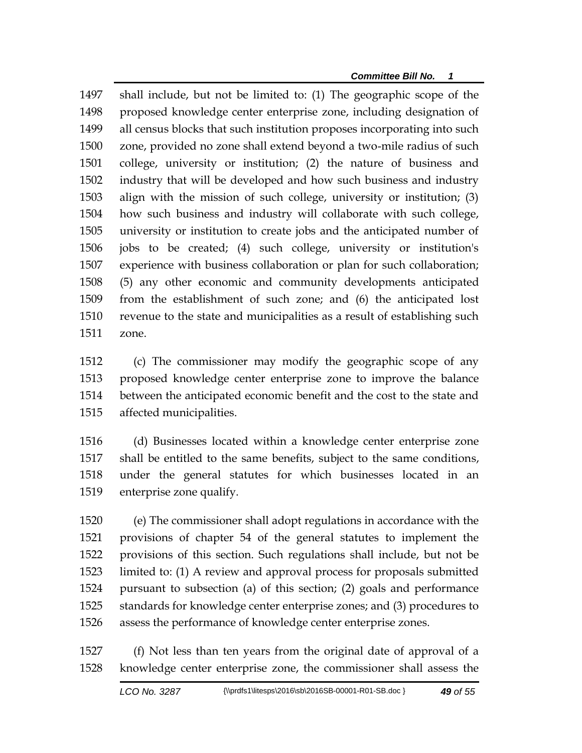shall include, but not be limited to: (1) The geographic scope of the proposed knowledge center enterprise zone, including designation of all census blocks that such institution proposes incorporating into such zone, provided no zone shall extend beyond a two-mile radius of such college, university or institution; (2) the nature of business and industry that will be developed and how such business and industry align with the mission of such college, university or institution; (3) how such business and industry will collaborate with such college, university or institution to create jobs and the anticipated number of jobs to be created; (4) such college, university or institution's experience with business collaboration or plan for such collaboration; (5) any other economic and community developments anticipated from the establishment of such zone; and (6) the anticipated lost revenue to the state and municipalities as a result of establishing such zone.

 (c) The commissioner may modify the geographic scope of any proposed knowledge center enterprise zone to improve the balance between the anticipated economic benefit and the cost to the state and affected municipalities.

 (d) Businesses located within a knowledge center enterprise zone shall be entitled to the same benefits, subject to the same conditions, under the general statutes for which businesses located in an enterprise zone qualify.

 (e) The commissioner shall adopt regulations in accordance with the provisions of chapter 54 of the general statutes to implement the provisions of this section. Such regulations shall include, but not be limited to: (1) A review and approval process for proposals submitted pursuant to subsection (a) of this section; (2) goals and performance standards for knowledge center enterprise zones; and (3) procedures to assess the performance of knowledge center enterprise zones.

 (f) Not less than ten years from the original date of approval of a knowledge center enterprise zone, the commissioner shall assess the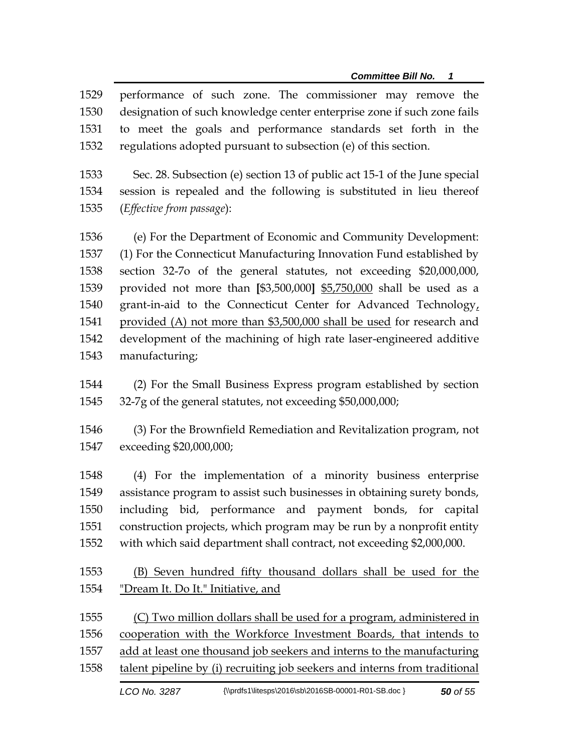performance of such zone. The commissioner may remove the designation of such knowledge center enterprise zone if such zone fails to meet the goals and performance standards set forth in the regulations adopted pursuant to subsection (e) of this section.

 Sec. 28. Subsection (e) section 13 of public act 15-1 of the June special session is repealed and the following is substituted in lieu thereof (*Effective from passage*):

 (e) For the Department of Economic and Community Development: (1) For the Connecticut Manufacturing Innovation Fund established by section 32-7o of the general statutes, not exceeding \$20,000,000, provided not more than **[**\$3,500,000**]** \$5,750,000 shall be used as a grant-in-aid to the Connecticut Center for Advanced Technology, provided (A) not more than \$3,500,000 shall be used for research and development of the machining of high rate laser-engineered additive manufacturing;

 (2) For the Small Business Express program established by section 32-7g of the general statutes, not exceeding \$50,000,000;

 (3) For the Brownfield Remediation and Revitalization program, not exceeding \$20,000,000;

 (4) For the implementation of a minority business enterprise assistance program to assist such businesses in obtaining surety bonds, including bid, performance and payment bonds, for capital construction projects, which program may be run by a nonprofit entity with which said department shall contract, not exceeding \$2,000,000.

 (B) Seven hundred fifty thousand dollars shall be used for the "Dream It. Do It." Initiative, and

 (C) Two million dollars shall be used for a program, administered in cooperation with the Workforce Investment Boards, that intends to add at least one thousand job seekers and interns to the manufacturing talent pipeline by (i) recruiting job seekers and interns from traditional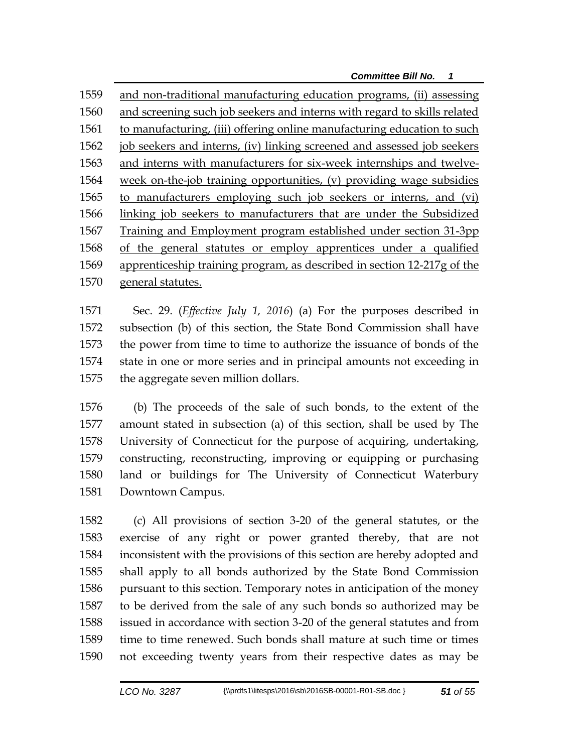and non-traditional manufacturing education programs, (ii) assessing and screening such job seekers and interns with regard to skills related to manufacturing, (iii) offering online manufacturing education to such job seekers and interns, (iv) linking screened and assessed job seekers and interns with manufacturers for six-week internships and twelve- week on-the-job training opportunities, (v) providing wage subsidies to manufacturers employing such job seekers or interns, and (vi) linking job seekers to manufacturers that are under the Subsidized Training and Employment program established under section 31-3pp of the general statutes or employ apprentices under a qualified apprenticeship training program, as described in section 12-217g of the general statutes.

 Sec. 29. (*Effective July 1, 2016*) (a) For the purposes described in subsection (b) of this section, the State Bond Commission shall have the power from time to time to authorize the issuance of bonds of the state in one or more series and in principal amounts not exceeding in the aggregate seven million dollars.

 (b) The proceeds of the sale of such bonds, to the extent of the amount stated in subsection (a) of this section, shall be used by The University of Connecticut for the purpose of acquiring, undertaking, constructing, reconstructing, improving or equipping or purchasing land or buildings for The University of Connecticut Waterbury Downtown Campus.

 (c) All provisions of section 3-20 of the general statutes, or the exercise of any right or power granted thereby, that are not inconsistent with the provisions of this section are hereby adopted and shall apply to all bonds authorized by the State Bond Commission pursuant to this section. Temporary notes in anticipation of the money to be derived from the sale of any such bonds so authorized may be issued in accordance with section 3-20 of the general statutes and from time to time renewed. Such bonds shall mature at such time or times not exceeding twenty years from their respective dates as may be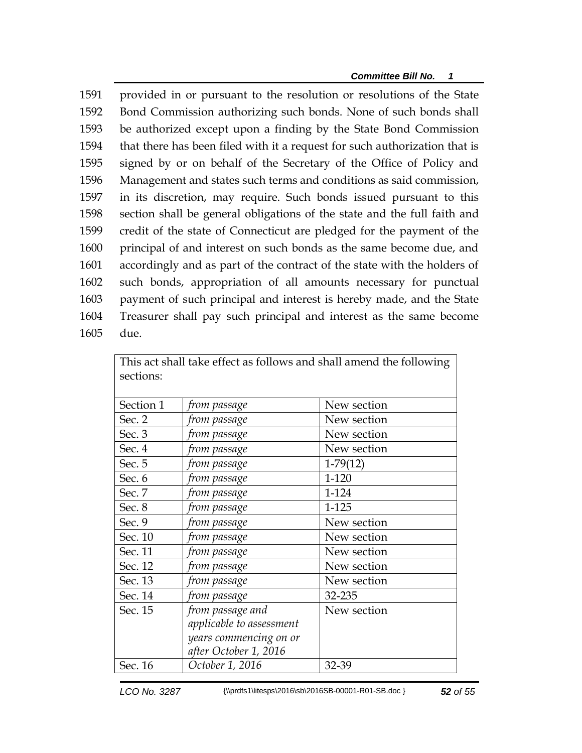provided in or pursuant to the resolution or resolutions of the State Bond Commission authorizing such bonds. None of such bonds shall be authorized except upon a finding by the State Bond Commission that there has been filed with it a request for such authorization that is signed by or on behalf of the Secretary of the Office of Policy and Management and states such terms and conditions as said commission, in its discretion, may require. Such bonds issued pursuant to this section shall be general obligations of the state and the full faith and credit of the state of Connecticut are pledged for the payment of the principal of and interest on such bonds as the same become due, and accordingly and as part of the contract of the state with the holders of such bonds, appropriation of all amounts necessary for punctual payment of such principal and interest is hereby made, and the State Treasurer shall pay such principal and interest as the same become 1605 due.

|           |                          | This act shall take effect as follows and shall amend the following |
|-----------|--------------------------|---------------------------------------------------------------------|
| sections: |                          |                                                                     |
|           |                          |                                                                     |
| Section 1 | from passage             | New section                                                         |
| Sec. 2    | from passage             | New section                                                         |
| Sec. 3    | from passage             | New section                                                         |
| Sec. 4    | from passage             | New section                                                         |
| Sec. 5    | from passage             | $1-79(12)$                                                          |
| Sec. 6    | from passage             | 1-120                                                               |
| Sec. 7    | from passage             | 1-124                                                               |
| Sec. 8    | from passage             | 1-125                                                               |
| Sec. 9    | from passage             | New section                                                         |
| Sec. 10   | from passage             | New section                                                         |
| Sec. 11   | from passage             | New section                                                         |
| Sec. 12   | from passage             | New section                                                         |
| Sec. 13   | from passage             | New section                                                         |
| Sec. 14   | from passage             | 32-235                                                              |
| Sec. 15   | from passage and         | New section                                                         |
|           | applicable to assessment |                                                                     |
|           | years commencing on or   |                                                                     |
|           | after October 1, 2016    |                                                                     |
| Sec. 16   | October 1, 2016          | 32-39                                                               |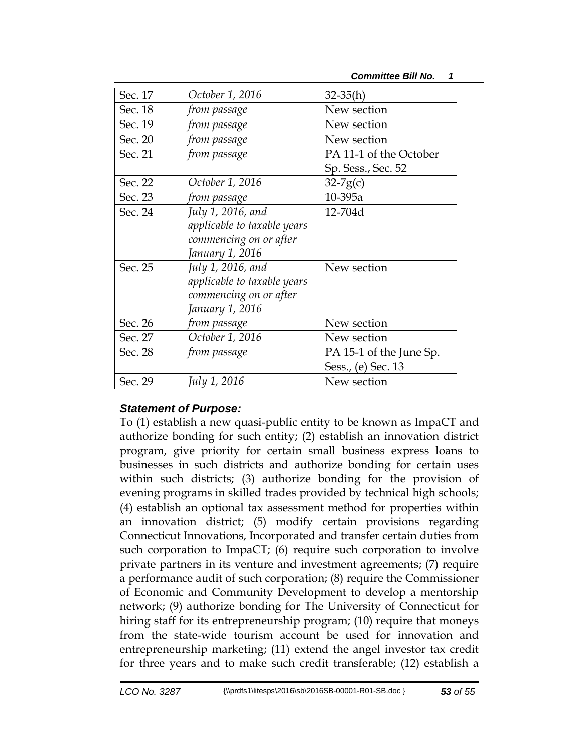| Sec. 17 | October 1, 2016             | $32 - 35(h)$            |
|---------|-----------------------------|-------------------------|
| Sec. 18 | from passage                | New section             |
| Sec. 19 | from passage                | New section             |
| Sec. 20 | from passage                | New section             |
| Sec. 21 | from passage                | PA 11-1 of the October  |
|         |                             | Sp. Sess., Sec. 52      |
| Sec. 22 | October 1, 2016             | $32-7g(c)$              |
| Sec. 23 | from passage                | 10-395a                 |
| Sec. 24 | July 1, 2016, and           | 12-704d                 |
|         | applicable to taxable years |                         |
|         | commencing on or after      |                         |
|         | January 1, 2016             |                         |
| Sec. 25 | July 1, 2016, and           | New section             |
|         | applicable to taxable years |                         |
|         | commencing on or after      |                         |
|         | January 1, 2016             |                         |
| Sec. 26 | from passage                | New section             |
| Sec. 27 | October 1, 2016             | New section             |
| Sec. 28 | from passage                | PA 15-1 of the June Sp. |
|         |                             | Sess., (e) Sec. 13      |
| Sec. 29 | July 1, 2016                | New section             |

## *Statement of Purpose:*

To (1) establish a new quasi-public entity to be known as ImpaCT and authorize bonding for such entity; (2) establish an innovation district program, give priority for certain small business express loans to businesses in such districts and authorize bonding for certain uses within such districts; (3) authorize bonding for the provision of evening programs in skilled trades provided by technical high schools; (4) establish an optional tax assessment method for properties within an innovation district; (5) modify certain provisions regarding Connecticut Innovations, Incorporated and transfer certain duties from such corporation to ImpaCT; (6) require such corporation to involve private partners in its venture and investment agreements; (7) require a performance audit of such corporation; (8) require the Commissioner of Economic and Community Development to develop a mentorship network; (9) authorize bonding for The University of Connecticut for hiring staff for its entrepreneurship program; (10) require that moneys from the state-wide tourism account be used for innovation and entrepreneurship marketing; (11) extend the angel investor tax credit for three years and to make such credit transferable; (12) establish a